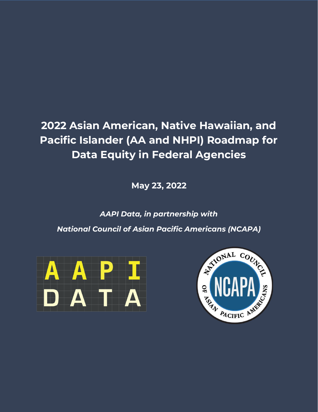## **2022 Asian American, Native Hawaiian, and Pacific Islander (AA and NHPI) Roadmap for Data Equity in Federal Agencies**

**May 23, 2022**

*AAPI Data, in partnership with National Council of Asian Pacific Americans (NCAPA)*



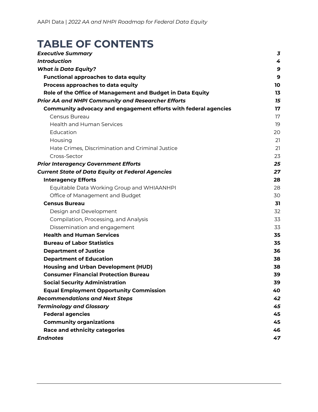### **TABLE OF CONTENTS**

| <b>Executive Summary</b>                                        | 3  |
|-----------------------------------------------------------------|----|
| <b>Introduction</b>                                             | 4  |
| <b>What is Data Equity?</b>                                     | 9  |
| <b>Functional approaches to data equity</b>                     | 9  |
| Process approaches to data equity                               | 10 |
| Role of the Office of Management and Budget in Data Equity      | 13 |
| <b>Prior AA and NHPI Community and Researcher Efforts</b>       | 15 |
| Community advocacy and engagement efforts with federal agencies | 17 |
| Census Bureau                                                   | 17 |
| <b>Health and Human Services</b>                                | 19 |
| Education                                                       | 20 |
| Housing                                                         | 21 |
| Hate Crimes, Discrimination and Criminal Justice                | 21 |
| Cross-Sector                                                    | 23 |
| <b>Prior Interagency Government Efforts</b>                     | 25 |
| <b>Current State of Data Equity at Federal Agencies</b>         | 27 |
| <b>Interagency Efforts</b>                                      | 28 |
| Equitable Data Working Group and WHIAANHPI                      | 28 |
| Office of Management and Budget                                 | 30 |
| <b>Census Bureau</b>                                            | 31 |
| Design and Development                                          | 32 |
| Compilation, Processing, and Analysis                           | 33 |
| Dissemination and engagement                                    | 33 |
| <b>Health and Human Services</b>                                | 35 |
| <b>Bureau of Labor Statistics</b>                               | 35 |
| <b>Department of Justice</b>                                    | 36 |
| <b>Department of Education</b>                                  | 38 |
| <b>Housing and Urban Development (HUD)</b>                      | 38 |
| <b>Consumer Financial Protection Bureau</b>                     | 39 |
| <b>Social Security Administration</b>                           | 39 |
| <b>Equal Employment Opportunity Commission</b>                  | 40 |
| <b>Recommendations and Next Steps</b>                           | 42 |
| <b>Terminology and Glossary</b>                                 | 45 |
| <b>Federal agencies</b>                                         | 45 |
| <b>Community organizations</b>                                  | 45 |
| <b>Race and ethnicity categories</b>                            | 46 |
| <b>Endnotes</b>                                                 | 47 |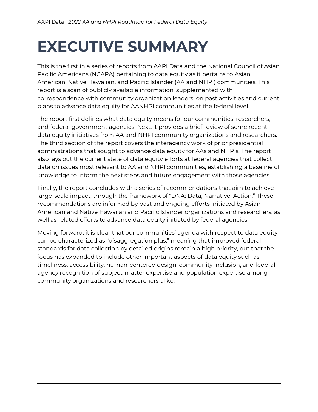# <span id="page-2-0"></span>**EXECUTIVE SUMMARY**

This is the first in a series of reports from AAPI Data and the National Council of Asian Pacific Americans (NCAPA) pertaining to data equity as it pertains to Asian American, Native Hawaiian, and Pacific Islander (AA and NHPI) communities. This report is a scan of publicly available information, supplemented with correspondence with community organization leaders, on past activities and current plans to advance data equity for AANHPI communities at the federal level.

The report first defines what data equity means for our communities, researchers, and federal government agencies. Next, it provides a brief review of some recent data equity initiatives from AA and NHPI community organizations and researchers. The third section of the report covers the interagency work of prior presidential administrations that sought to advance data equity for AAs and NHPIs. The report also lays out the current state of data equity efforts at federal agencies that collect data on issues most relevant to AA and NHPI communities, establishing a baseline of knowledge to inform the next steps and future engagement with those agencies.

Finally, the report concludes with a series of recommendations that aim to achieve large-scale impact, through the framework of "DNA: Data, Narrative, Action." These recommendations are informed by past and ongoing efforts initiated by Asian American and Native Hawaiian and Pacific Islander organizations and researchers, as well as related efforts to advance data equity initiated by federal agencies.

Moving forward, it is clear that our communities' agenda with respect to data equity can be characterized as "disaggregation plus," meaning that improved federal standards for data collection by detailed origins remain a high priority, but that the focus has expanded to include other important aspects of data equity such as timeliness, accessibility, human-centered design, community inclusion, and federal agency recognition of subject-matter expertise and population expertise among community organizations and researchers alike.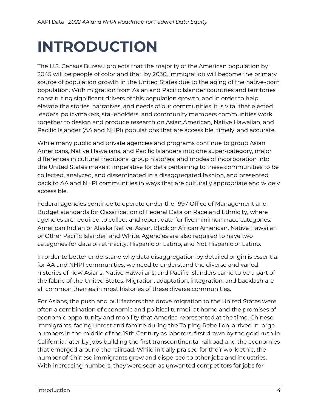# <span id="page-3-0"></span>**INTRODUCTION**

The U.S. Census Bureau projects that the majority of the American population by 2045 will be people of color and that, by 2030, immigration will become the primary source of population growth in the United States due to the aging of the native-born population. With migration from Asian and Pacific Islander countries and territories constituting significant drivers of this population growth, and in order to help elevate the stories, narratives, and needs of our communities, it is vital that elected leaders, policymakers, stakeholders, and community members communities work together to design and produce research on Asian American, Native Hawaiian, and Pacific Islander (AA and NHPI) populations that are accessible, timely, and accurate.

While many public and private agencies and programs continue to group Asian Americans, Native Hawaiians, and Pacific Islanders into one super-category, major differences in cultural traditions, group histories, and modes of incorporation into the United States make it imperative for data pertaining to these communities to be collected, analyzed, and disseminated in a disaggregated fashion, and presented back to AA and NHPI communities in ways that are culturally appropriate and widely accessible.

Federal agencies continue to operate under the 1997 Office of Management and Budget standards for Classification of Federal Data on Race and Ethnicity, where agencies are required to collect and report data for five minimum race categories: American Indian or Alaska Native, Asian, Black or African American, Native Hawaiian or Other Pacific Islander, and White. Agencies are also required to have two categories for data on ethnicity: Hispanic or Latino, and Not Hispanic or Latino.

In order to better understand why data disaggregation by detailed origin is essential for AA and NHPI communities, we need to understand the diverse and varied histories of how Asians, Native Hawaiians, and Pacific Islanders came to be a part of the fabric of the United States. Migration, adaptation, integration, and backlash are all common themes in most histories of these diverse communities.

For Asians, the push and pull factors that drove migration to the United States were often a combination of economic and political turmoil at home and the promises of economic opportunity and mobility that America represented at the time. Chinese immigrants, facing unrest and famine during the Taiping Rebellion, arrived in large numbers in the middle of the 19th Century as laborers, first drawn by the gold rush in California, later by jobs building the first transcontinental railroad and the economies that emerged around the railroad. While initially praised for their work ethic, the number of Chinese immigrants grew and dispersed to other jobs and industries. With increasing numbers, they were seen as unwanted competitors for jobs for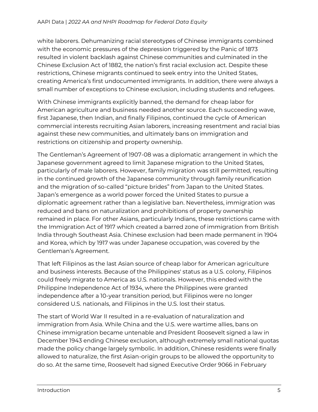white laborers. Dehumanizing racial stereotypes of Chinese immigrants combined with the economic pressures of the depression triggered by the Panic of 1873 resulted in violent backlash against Chinese communities and culminated in the Chinese Exclusion Act of 1882, the nation's first racial exclusion act. Despite these restrictions, Chinese migrants continued to seek entry into the United States, creating America's first undocumented immigrants. In addition, there were always a small number of exceptions to Chinese exclusion, including students and refugees.

With Chinese immigrants explicitly banned, the demand for cheap labor for American agriculture and business needed another source. Each succeeding wave, first Japanese, then Indian, and finally Filipinos, continued the cycle of American commercial interests recruiting Asian laborers, increasing resentment and racial bias against these new communities, and ultimately bans on immigration and restrictions on citizenship and property ownership.

The Gentleman's Agreement of 1907-08 was a diplomatic arrangement in which the Japanese government agreed to limit Japanese migration to the United States, particularly of male laborers. However, family migration was still permitted, resulting in the continued growth of the Japanese community through family reunification and the migration of so-called "picture brides" from Japan to the United States. Japan's emergence as a world power forced the United States to pursue a diplomatic agreement rather than a legislative ban. Nevertheless, immigration was reduced and bans on naturalization and prohibitions of property ownership remained in place. For other Asians, particularly Indians, these restrictions came with the Immigration Act of 1917 which created a barred zone of immigration from British India through Southeast Asia. Chinese exclusion had been made permanent in 1904 and Korea, which by 1917 was under Japanese occupation, was covered by the Gentleman's Agreement.

That left Filipinos as the last Asian source of cheap labor for American agriculture and business interests. Because of the Philippines' status as a U.S. colony, Filipinos could freely migrate to America as U.S. nationals. However, this ended with the Philippine Independence Act of 1934, where the Philippines were granted independence after a 10-year transition period, but Filipinos were no longer considered U.S. nationals, and Filipinos in the U.S. lost their status.

The start of World War II resulted in a re-evaluation of naturalization and immigration from Asia. While China and the U.S. were wartime allies, bans on Chinese immigration became untenable and President Roosevelt signed a law in December 1943 ending Chinese exclusion, although extremely small national quotas made the policy change largely symbolic. In addition, Chinese residents were finally allowed to naturalize, the first Asian-origin groups to be allowed the opportunity to do so. At the same time, Roosevelt had signed Executive Order 9066 in February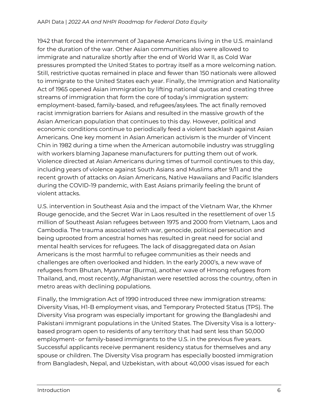1942 that forced the internment of Japanese Americans living in the U.S. mainland for the duration of the war. Other Asian communities also were allowed to immigrate and naturalize shortly after the end of World War II, as Cold War pressures prompted the United States to portray itself as a more welcoming nation. Still, restrictive quotas remained in place and fewer than 150 nationals were allowed to immigrate to the United States each year. Finally, the Immigration and Nationality Act of 1965 opened Asian immigration by lifting national quotas and creating three streams of immigration that form the core of today's immigration system: employment-based, family-based, and refugees/asylees. The act finally removed racist immigration barriers for Asians and resulted in the massive growth of the Asian American population that continues to this day. However, political and economic conditions continue to periodically feed a violent backlash against Asian Americans. One key moment in Asian American activism is the murder of Vincent Chin in 1982 during a time when the American automobile industry was struggling with workers blaming Japanese manufacturers for putting them out of work. Violence directed at Asian Americans during times of turmoil continues to this day, including years of violence against South Asians and Muslims after 9/11 and the recent growth of attacks on Asian Americans, Native Hawaiians and Pacific Islanders during the COVID-19 pandemic, with East Asians primarily feeling the brunt of violent attacks.

U.S. intervention in Southeast Asia and the impact of the Vietnam War, the Khmer Rouge genocide, and the Secret War in Laos resulted in the resettlement of over 1.5 million of Southeast Asian refugees between 1975 and 2000 from Vietnam, Laos and Cambodia. The trauma associated with war, genocide, political persecution and being uprooted from ancestral homes has resulted in great need for social and mental health services for refugees. The lack of disaggregated data on Asian Americans is the most harmful to refugee communities as their needs and challenges are often overlooked and hidden. In the early 2000's, a new wave of refugees from Bhutan, Myanmar (Burma), another wave of Hmong refugees from Thailand, and, most recently, Afghanistan were resettled across the country, often in metro areas with declining populations.

Finally, the Immigration Act of 1990 introduced three new immigration streams: Diversity Visas, H1-B employment visas, and Temporary Protected Status (TPS). The Diversity Visa program was especially important for growing the Bangladeshi and Pakistani immigrant populations in the United States. The Diversity Visa is a lotterybased program open to residents of any territory that had sent less than 50,000 employment- or family-based immigrants to the U.S. in the previous five years. Successful applicants receive permanent residency status for themselves and any spouse or children. The Diversity Visa program has especially boosted immigration from Bangladesh, Nepal, and Uzbekistan, with about 40,000 visas issued for each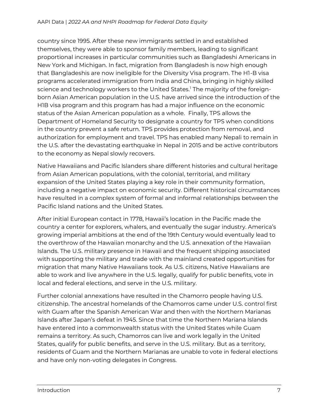country since 1995. After these new immigrants settled in and established themselves, they were able to sponsor family members, leading to significant proportional increases in particular communities such as Bangladeshi Americans in New York and Michigan. In fact, migration from Bangladesh is now high enough that Bangladeshis are now ineligible for the Diversity Visa program. The H1-B visa programs accelerated immigration from India and China, bringing in highly skilled science and technology workers to the United States.<sup>1</sup> The majority of the foreignborn Asian American population in the U.S. have arrived since the introduction of the H1B visa program and this program has had a major influence on the economic status of the Asian American population as a whole. Finally, TPS allows the Department of Homeland Security to designate a country for TPS when conditions in the country prevent a safe return. TPS provides protection from removal, and authorization for employment and travel. TPS has enabled many Nepali to remain in the U.S. after the devastating earthquake in Nepal in 2015 and be active contributors to the economy as Nepal slowly recovers.

Native Hawaiians and Pacific Islanders share different histories and cultural heritage from Asian American populations, with the colonial, territorial, and military expansion of the United States playing a key role in their community formation, including a negative impact on economic security. Different historical circumstances have resulted in a complex system of formal and informal relationships between the Pacific Island nations and the United States.

After initial European contact in 1778, Hawaii's location in the Pacific made the country a center for explorers, whalers, and eventually the sugar industry. America's growing imperial ambitions at the end of the 19th Century would eventually lead to the overthrow of the Hawaiian monarchy and the U.S. annexation of the Hawaiian Islands. The U.S. military presence in Hawaii and the frequent shipping associated with supporting the military and trade with the mainland created opportunities for migration that many Native Hawaiians took. As U.S. citizens, Native Hawaiians are able to work and live anywhere in the U.S. legally, qualify for public benefits, vote in local and federal elections, and serve in the U.S. military.

Further colonial annexations have resulted in the Chamorro people having U.S. citizenship. The ancestral homelands of the Chamorros came under U.S. control first with Guam after the Spanish American War and then with the Northern Marianas Islands after Japan's defeat in 1945. Since that time the Northern Mariana Islands have entered into a commonwealth status with the United States while Guam remains a territory. As such, Chamorros can live and work legally in the United States, qualify for public benefits, and serve in the U.S. military. But as a territory, residents of Guam and the Northern Marianas are unable to vote in federal elections and have only non-voting delegates in Congress.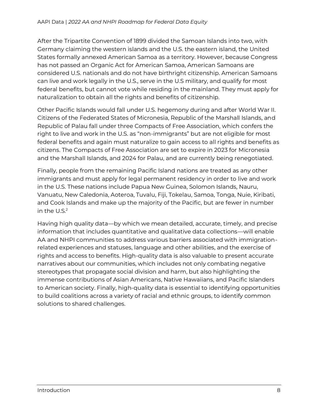After the Tripartite Convention of 1899 divided the Samoan Islands into two, with Germany claiming the western islands and the U.S. the eastern island, the United States formally annexed American Samoa as a territory. However, because Congress has not passed an Organic Act for American Samoa, American Samoans are considered U.S. nationals and do not have birthright citizenship. American Samoans can live and work legally in the U.S., serve in the U.S military, and qualify for most federal benefits, but cannot vote while residing in the mainland. They must apply for naturalization to obtain all the rights and benefits of citizenship.

Other Pacific Islands would fall under U.S. hegemony during and after World War II. Citizens of the Federated States of Micronesia, Republic of the Marshall Islands, and Republic of Palau fall under three Compacts of Free Association, which confers the right to live and work in the U.S. as "non-immigrants" but are not eligible for most federal benefits and again must naturalize to gain access to all rights and benefits as citizens. The Compacts of Free Association are set to expire in 2023 for Micronesia and the Marshall Islands, and 2024 for Palau, and are currently being renegotiated.

Finally, people from the remaining Pacific Island nations are treated as any other immigrants and must apply for legal permanent residency in order to live and work in the U.S. These nations include Papua New Guinea, Solomon Islands, Nauru, Vanuatu, New Caledonia, Aoteroa, Tuvalu, Fiji, Tokelau, Samoa, Tonga, Nuie, Kiribati, and Cook Islands and make up the majority of the Pacific, but are fewer in number in the  $U.S.<sup>2</sup>$ 

Having high quality data—by which we mean detailed, accurate, timely, and precise information that includes quantitative and qualitative data collections—will enable AA and NHPI communities to address various barriers associated with immigrationrelated experiences and statuses, language and other abilities, and the exercise of rights and access to benefits. High-quality data is also valuable to present accurate narratives about our communities, which includes not only combating negative stereotypes that propagate social division and harm, but also highlighting the immense contributions of Asian Americans, Native Hawaiians, and Pacific Islanders to American society. Finally, high-quality data is essential to identifying opportunities to build coalitions across a variety of racial and ethnic groups, to identify common solutions to shared challenges.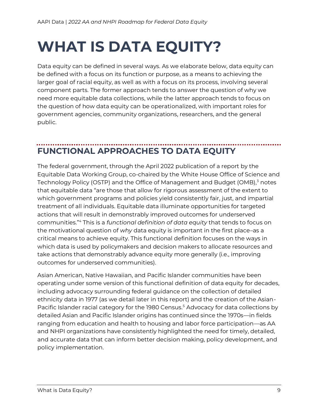# <span id="page-8-0"></span>**WHAT IS DATA EQUITY?**

Data equity can be defined in several ways. As we elaborate below, data equity can be defined with a focus on its function or purpose, as a means to achieving the larger goal of racial equity, as well as with a focus on its process, involving several component parts. The former approach tends to answer the question of why we need more equitable data collections, while the latter approach tends to focus on the question of how data equity can be operationalized, with important roles for government agencies, community organizations, researchers, and the general public.

### <span id="page-8-1"></span>**FUNCTIONAL APPROACHES TO DATA EQUITY**

The federal government, through the April 2022 publication of a report by the Equitable Data Working Group, co-chaired by the White House Office of Science and Technology Policy (OSTP) and the Office of Management and Budget (OMB),<sup>3</sup> notes that equitable data "are those that allow for rigorous assessment of the extent to which government programs and policies yield consistently fair, just, and impartial treatment of all individuals. Equitable data illuminate opportunities for targeted actions that will result in demonstrably improved outcomes for underserved communities."<sup>4</sup> This is a *functional definition of data equity* that tends to focus on the motivational question of *why* data equity is important in the first place–as a critical means to achieve equity. This functional definition focuses on the ways in which data is used by policymakers and decision makers to allocate resources and take actions that demonstrably advance equity more generally (i.e., improving outcomes for underserved communities).

Asian American, Native Hawaiian, and Pacific Islander communities have been operating under some version of this functional definition of data equity for decades, including advocacy surrounding federal guidance on the collection of detailed ethnicity data in 1977 (as we detail later in this report) and the creation of the Asian-Pacific Islander racial category for the 1980 Census.<sup>5</sup> Advocacy for data collections by detailed Asian and Pacific Islander origins has continued since the 1970s—in fields ranging from education and health to housing and labor force participation—as AA and NHPI organizations have consistently highlighted the need for timely, detailed, and accurate data that can inform better decision making, policy development, and policy implementation.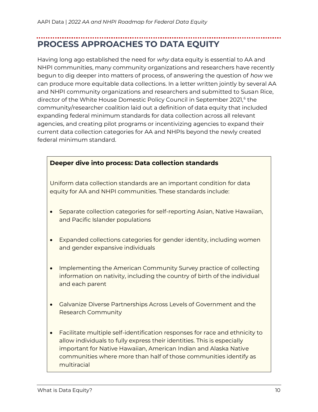## <span id="page-9-0"></span>**PROCESS APPROACHES TO DATA EQUITY**

Having long ago established the need for *why* data equity is essential to AA and NHPI communities, many community organizations and researchers have recently begun to dig deeper into matters of process, of answering the question of *how* we can produce more equitable data collections. In a letter written jointly by several AA and NHPI community organizations and researchers and submitted to Susan Rice, director of the White House Domestic Policy Council in September 2021,<sup>6</sup> the community/researcher coalition laid out a definition of data equity that included expanding federal minimum standards for data collection across all relevant agencies, and creating pilot programs or incentivizing agencies to expand their current data collection categories for AA and NHPIs beyond the newly created federal minimum standard.

#### **Deeper dive into process: Data collection standards**

Uniform data collection standards are an important condition for data equity for AA and NHPI communities. These standards include:

- Separate collection categories for self-reporting Asian, Native Hawaiian, and Pacific Islander populations
- Expanded collections categories for gender identity, including women and gender expansive individuals
- Implementing the American Community Survey practice of collecting information on nativity, including the country of birth of the individual and each parent
- Galvanize Diverse Partnerships Across Levels of Government and the Research Community
- Facilitate multiple self-identification responses for race and ethnicity to allow individuals to fully express their identities. This is especially important for Native Hawaiian, American Indian and Alaska Native communities where more than half of those communities identify as multiracial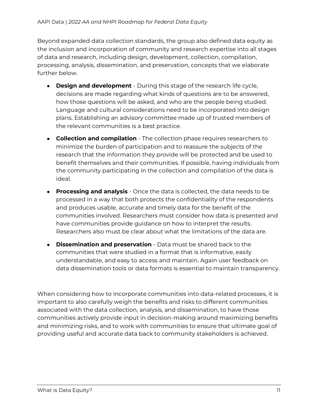Beyond expanded data collection standards, the group also defined data equity as the inclusion and incorporation of community and research expertise into all stages of data and research, including design, development, collection, compilation, processing, analysis, dissemination, and preservation, concepts that we elaborate further below.

- **Design and development** During this stage of the research life cycle, decisions are made regarding what kinds of questions are to be answered, how those questions will be asked, and who are the people being studied. Language and cultural considerations need to be incorporated into design plans. Establishing an advisory committee made up of trusted members of the relevant communities is a best practice.
- **Collection and compilation** The collection phase requires researchers to minimize the burden of participation and to reassure the subjects of the research that the information they provide will be protected and be used to benefit themselves and their communities. If possible, having individuals from the community participating in the collection and compilation of the data is ideal.
- **Processing and analysis** Once the data is collected, the data needs to be processed in a way that both protects the confidentiality of the respondents and produces usable, accurate and timely data for the benefit of the communities involved. Researchers must consider how data is presented and have communities provide guidance on how to interpret the results. Researchers also must be clear about what the limitations of the data are.
- **Dissemination and preservation** Data must be shared back to the communities that were studied in a format that is informative, easily understandable, and easy to access and maintain. Again user feedback on data dissemination tools or data formats is essential to maintain transparency.

When considering how to incorporate communities into data-related processes, it is important to also carefully weigh the benefits and risks to different communities associated with the data collection, analysis, and dissemination, to have those communities actively provide input in decision-making around maximizing benefits and minimizing risks, and to work with communities to ensure that ultimate goal of providing useful and accurate data back to community stakeholders is achieved.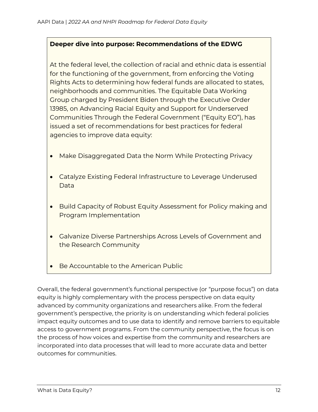#### **Deeper dive into purpose: Recommendations of the EDWG**

At the federal level, the collection of racial and ethnic data is essential for the functioning of the government, from enforcing the Voting Rights Acts to determining how federal funds are allocated to states, neighborhoods and communities. The Equitable Data Working Group charged by President Biden through the Executive Order 13985, on Advancing Racial Equity and Support for Underserved Communities Through the Federal Government ("Equity EO"), has issued a set of recommendations for best practices for federal agencies to improve data equity:

- Make Disaggregated Data the Norm While Protecting Privacy
- Catalyze Existing Federal Infrastructure to Leverage Underused Data
- Build Capacity of Robust Equity Assessment for Policy making and Program Implementation
- Galvanize Diverse Partnerships Across Levels of Government and the Research Community
- Be Accountable to the American Public

Overall, the federal government's functional perspective (or "purpose focus") on data equity is highly complementary with the process perspective on data equity advanced by community organizations and researchers alike. From the federal government's perspective, the priority is on understanding which federal policies impact equity outcomes and to use data to identify and remove barriers to equitable access to government programs. From the community perspective, the focus is on the process of how voices and expertise from the community and researchers are incorporated into data processes that will lead to more accurate data and better outcomes for communities.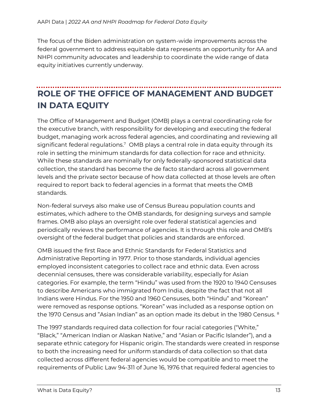The focus of the Biden administration on system-wide improvements across the federal government to address equitable data represents an opportunity for AA and NHPI community advocates and leadership to coordinate the wide range of data equity initiatives currently underway.

### <span id="page-12-0"></span>**ROLE OF THE OFFICE OF MANAGEMENT AND BUDGET IN DATA EQUITY**

The Office of Management and Budget (OMB) plays a central coordinating role for the executive branch, with responsibility for developing and executing the federal budget, managing work across federal agencies, and coordinating and reviewing all significant federal regulations.<sup>7</sup> OMB plays a central role in data equity through its role in setting the minimum standards for data collection for race and ethnicity. While these standards are nominally for only federally-sponsored statistical data collection, the standard has become the de facto standard across all government levels and the private sector because of how data collected at those levels are often required to report back to federal agencies in a format that meets the OMB standards.

Non-federal surveys also make use of Census Bureau population counts and estimates, which adhere to the OMB standards, for designing surveys and sample frames. OMB also plays an oversight role over federal statistical agencies and periodically reviews the performance of agencies. It is through this role and OMB's oversight of the federal budget that policies and standards are enforced.

OMB issued the first Race and Ethnic Standards for Federal Statistics and Administrative Reporting in 1977. Prior to those standards, individual agencies employed inconsistent categories to collect race and ethnic data. Even across decennial censuses, there was considerable variability, especially for Asian categories. For example, the term "Hindu" was used from the 1920 to 1940 Censuses to describe Americans who immigrated from India, despite the fact that not all Indians were Hindus. For the 1950 and 1960 Censuses, both "Hindu" and "Korean" were removed as response options. "Korean" was included as a response option on the 1970 Census and "Asian Indian" as an option made its debut in the 1980 Census. <sup>8</sup>

The 1997 standards required data collection for four racial categories ("White," "Black," "American Indian or Alaskan Native," and "Asian or Pacific Islander"), and a separate ethnic category for Hispanic origin. The standards were created in response to both the increasing need for uniform standards of data collection so that data collected across different federal agencies would be compatible and to meet the requirements of Public Law 94-311 of June 16, 1976 that required federal agencies to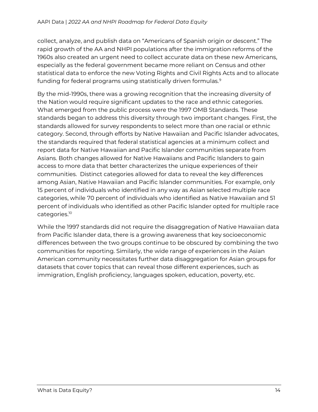collect, analyze, and publish data on "Americans of Spanish origin or descent." The rapid growth of the AA and NHPI populations after the immigration reforms of the 1960s also created an urgent need to collect accurate data on these new Americans, especially as the federal government became more reliant on Census and other statistical data to enforce the new Voting Rights and Civil Rights Acts and to allocate funding for federal programs using statistically driven formulas.<sup>9</sup>

By the mid-1990s, there was a growing recognition that the increasing diversity of the Nation would require significant updates to the race and ethnic categories. What emerged from the public process were the 1997 OMB Standards. These standards began to address this diversity through two important changes. First, the standards allowed for survey respondents to select more than one racial or ethnic category. Second, through efforts by Native Hawaiian and Pacific Islander advocates, the standards required that federal statistical agencies at a minimum collect and report data for Native Hawaiian and Pacific Islander communities separate from Asians. Both changes allowed for Native Hawaiians and Pacific Islanders to gain access to more data that better characterizes the unique experiences of their communities. Distinct categories allowed for data to reveal the key differences among Asian, Native Hawaiian and Pacific Islander communities. For example, only 15 percent of individuals who identified in any way as Asian selected multiple race categories, while 70 percent of individuals who identified as Native Hawaiian and 51 percent of individuals who identified as other Pacific Islander opted for multiple race categories.<sup>10</sup>

While the 1997 standards did not require the disaggregation of Native Hawaiian data from Pacific Islander data, there is a growing awareness that key socioeconomic differences between the two groups continue to be obscured by combining the two communities for reporting. Similarly, the wide range of experiences in the Asian American community necessitates further data disaggregation for Asian groups for datasets that cover topics that can reveal those different experiences, such as immigration, English proficiency, languages spoken, education, poverty, etc.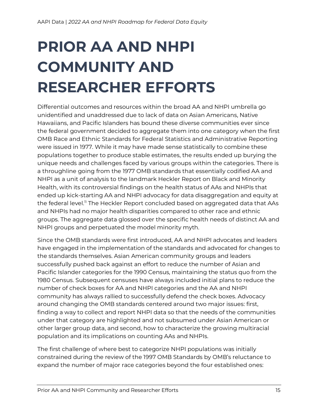# <span id="page-14-0"></span>**PRIOR AA AND NHPI COMMUNITY AND RESEARCHER EFFORTS**

Differential outcomes and resources within the broad AA and NHPI umbrella go unidentified and unaddressed due to lack of data on Asian Americans, Native Hawaiians, and Pacific Islanders has bound these diverse communities ever since the federal government decided to aggregate them into one category when the first OMB Race and Ethnic Standards for Federal Statistics and Administrative Reporting were issued in 1977. While it may have made sense statistically to combine these populations together to produce stable estimates, the results ended up burying the unique needs and challenges faced by various groups within the categories. There is a throughline going from the 1977 OMB standards that essentially codified AA and NHPI as a unit of analysis to the landmark Heckler Report on Black and Minority Health, with its controversial findings on the health status of AAs and NHPIs that ended up kick-starting AA and NHPI advocacy for data disaggregation and equity at the federal level.<sup>11</sup> The Heckler Report concluded based on aggregated data that AAs and NHPIs had no major health disparities compared to other race and ethnic groups. The aggregate data glossed over the specific health needs of distinct AA and NHPI groups and perpetuated the model minority myth.

Since the OMB standards were first introduced, AA and NHPI advocates and leaders have engaged in the implementation of the standards and advocated for changes to the standards themselves. Asian American community groups and leaders successfully pushed back against an effort to reduce the number of Asian and Pacific Islander categories for the 1990 Census, maintaining the status quo from the 1980 Census. Subsequent censuses have always included initial plans to reduce the number of check boxes for AA and NHPI categories and the AA and NHPI community has always rallied to successfully defend the check boxes. Advocacy around changing the OMB standards centered around two major issues: first, finding a way to collect and report NHPI data so that the needs of the communities under that category are highlighted and not subsumed under Asian American or other larger group data, and second, how to characterize the growing multiracial population and its implications on counting AAs and NHPIs.

The first challenge of where best to categorize NHPI populations was initially constrained during the review of the 1997 OMB Standards by OMB's reluctance to expand the number of major race categories beyond the four established ones: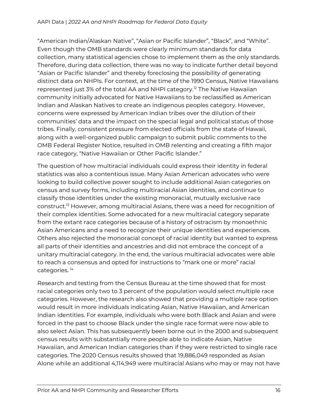"American Indian/Alaskan Native", "Asian or Pacific Islander", "Black", and "White". Even though the OMB standards were clearly minimum standards for data collection, many statistical agencies chose to implement them as the only standards. Therefore, during data collection, there was no way to indicate further detail beyond "Asian or Pacific Islander" and thereby foreclosing the possibility of generating distinct data on NHPIs. For context, at the time of the 1990 Census, Native Hawaiians represented just 3% of the total AA and NHPI category.<sup>12</sup> The Native Hawaiian community initially advocated for Native Hawaiians to be reclassified as American Indian and Alaskan Natives to create an indigenous peoples category. However, concerns were expressed by American Indian tribes over the dilution of their communities' data and the impact on the special legal and political status of those tribes. Finally, consistent pressure from elected officials from the state of Hawaii, along with a well-organized public campaign to submit public comments to the OMB Federal Register Notice, resulted in OMB relenting and creating a fifth major race category, "Native Hawaiian or Other Pacific Islander."

The question of how multiracial individuals could express their identity in federal statistics was also a contentious issue. Many Asian American advocates who were looking to build collective power sought to include additional Asian categories on census and survey forms, including multiracial Asian identities, and continue to classify those identities under the existing monoracial, mutually exclusive race construct.<sup>13</sup> However, among multiracial Asians, there was a need for recognition of their complex identities. Some advocated for a new multiracial category separate from the extant race categories because of a history of ostracism by monoethnic Asian Americans and a need to recognize their unique identities and experiences. Others also rejected the monoracial concept of racial identity but wanted to express all parts of their identities and ancestries and did not embrace the concept of a unitary multiracial category. In the end, the various multiracial advocates were able to reach a consensus and opted for instructions to "mark one or more" racial categories. <sup>14</sup>

Research and testing from the Census Bureau at the time showed that for most racial categories only two to 3 percent of the population would select multiple race categories. However, the research also showed that providing a multiple race option would result in more individuals indicating Asian, Native Hawaiian, and American Indian identities. For example, individuals who were both Black and Asian and were forced in the past to choose Black under the single race format were now able to also select Asian. This has subsequently been borne out in the 2000 and subsequent census results with substantially more people able to indicate Asian, Native Hawaiian, and American Indian categories than if they were restricted to single race categories. The 2020 Census results showed that 19,886,049 responded as Asian Alone while an additional 4,114,949 were multiracial Asians who may or may not have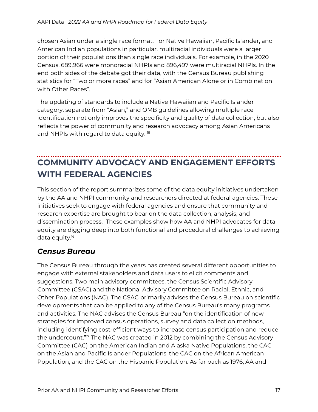chosen Asian under a single race format. For Native Hawaiian, Pacific Islander, and American Indian populations in particular, multiracial individuals were a larger portion of their populations than single race individuals. For example, in the 2020 Census, 689,966 were monoracial NHPIs and 896,497 were multiracial NHPIs. In the end both sides of the debate got their data, with the Census Bureau publishing statistics for "Two or more races" and for "Asian American Alone or in Combination with Other Races".

The updating of standards to include a Native Hawaiian and Pacific Islander category, separate from "Asian," and OMB guidelines allowing multiple race identification not only improves the specificity and quality of data collection, but also reflects the power of community and research advocacy among Asian Americans and NHPIs with regard to data equity.<sup>15</sup>

### <span id="page-16-0"></span>**COMMUNITY ADVOCACY AND ENGAGEMENT EFFORTS WITH FEDERAL AGENCIES**

This section of the report summarizes some of the data equity initiatives undertaken by the AA and NHPI community and researchers directed at federal agencies. These initiatives seek to engage with federal agencies and ensure that community and research expertise are brought to bear on the data collection, analysis, and dissemination process. These examples show how AA and NHPI advocates for data equity are digging deep into both functional and procedural challenges to achieving data equity.<sup>16</sup>

#### <span id="page-16-1"></span>*Census Bureau*

The Census Bureau through the years has created several different opportunities to engage with external stakeholders and data users to elicit comments and suggestions. Two main advisory committees, the Census Scientific Advisory Committee (CSAC) and the National Advisory Committee on Racial, Ethnic, and Other Populations (NAC). The CSAC primarily advises the Census Bureau on scientific developments that can be applied to any of the Census Bureau's many programs and activities. The NAC advises the Census Bureau "on the identification of new strategies for improved census operations, survey and data collection methods, including identifying cost-efficient ways to increase census participation and reduce the undercount."<sup>17</sup> The NAC was created in 2012 by combining the Census Advisory Committee (CAC) on the American Indian and Alaska Native Populations, the CAC on the Asian and Pacific Islander Populations, the CAC on the African American Population, and the CAC on the Hispanic Population. As far back as 1976, AA and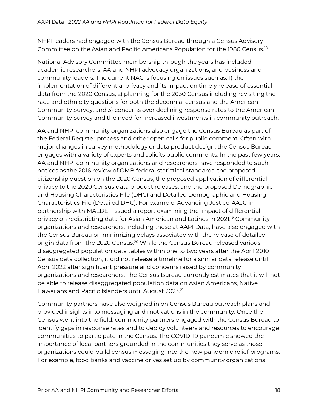NHPI leaders had engaged with the Census Bureau through a Census Advisory Committee on the Asian and Pacific Americans Population for the 1980 Census.<sup>18</sup>

National Advisory Committee membership through the years has included academic researchers, AA and NHPI advocacy organizations, and business and community leaders. The current NAC is focusing on issues such as: 1) the implementation of differential privacy and its impact on timely release of essential data from the 2020 Census, 2) planning for the 2030 Census including revisiting the race and ethnicity questions for both the decennial census and the American Community Survey, and 3) concerns over declining response rates to the American Community Survey and the need for increased investments in community outreach.

AA and NHPI community organizations also engage the Census Bureau as part of the Federal Register process and other open calls for public comment. Often with major changes in survey methodology or data product design, the Census Bureau engages with a variety of experts and solicits public comments. In the past few years, AA and NHPI community organizations and researchers have responded to such notices as the 2016 review of OMB federal statistical standards, the proposed citizenship question on the 2020 Census, the proposed application of differential privacy to the 2020 Census data product releases, and the proposed Demographic and Housing Characteristics File (DHC) and Detailed Demographic and Housing Characteristics File (Detailed DHC). For example, Advancing Justice-AAJC in partnership with MALDEF issued a report examining the impact of differential privacy on redistricting data for Asian American and Latinos in 2021.<sup>19</sup> Community organizations and researchers, including those at AAPI Data, have also engaged with the Census Bureau on minimizing delays associated with the release of detailed origin data from the 2020 Census.<sup>20</sup> While the Census Bureau released various disaggregated population data tables within one to two years after the April 2010 Census data collection, it did not release a timeline for a similar data release until April 2022 after significant pressure and concerns raised by community organizations and researchers. The Census Bureau currently estimates that it will not be able to release disaggregated population data on Asian Americans, Native Hawaiians and Pacific Islanders until August 2023.<sup>21</sup>

Community partners have also weighed in on Census Bureau outreach plans and provided insights into messaging and motivations in the community. Once the Census went into the field, community partners engaged with the Census Bureau to identify gaps in response rates and to deploy volunteers and resources to encourage communities to participate in the Census. The COVID-19 pandemic showed the importance of local partners grounded in the communities they serve as those organizations could build census messaging into the new pandemic relief programs. For example, food banks and vaccine drives set up by community organizations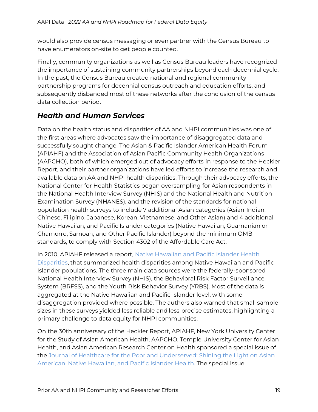would also provide census messaging or even partner with the Census Bureau to have enumerators on-site to get people counted.

Finally, community organizations as well as Census Bureau leaders have recognized the importance of sustaining community partnerships beyond each decennial cycle. In the past, the Census Bureau created national and regional community partnership programs for decennial census outreach and education efforts, and subsequently disbanded most of these networks after the conclusion of the census data collection period.

#### <span id="page-18-0"></span>*Health and Human Services*

Data on the health status and disparities of AA and NHPI communities was one of the first areas where advocates saw the importance of disaggregated data and successfully sought change. The Asian & Pacific Islander American Health Forum (APIAHF) and the Association of Asian Pacific Community Health Organizations (AAPCHO), both of which emerged out of advocacy efforts in response to the Heckler Report, and their partner organizations have led efforts to increase the research and available data on AA and NHPI health disparities. Through their advocacy efforts, the National Center for Health Statistics began oversampling for Asian respondents in the National Health Interview Survey (NHIS) and the National Health and Nutrition Examination Survey (NHANES), and the revision of the standards for national population health surveys to include 7 additional Asian categories (Asian Indian, Chinese, Filipino, Japanese, Korean, Vietnamese, and Other Asian) and 4 additional Native Hawaiian, and Pacific Islander categories (Native Hawaiian, Guamanian or Chamorro, Samoan, and Other Pacific Islander) beyond the minimum OMB standards, to comply with Section 4302 of the Affordable Care Act.

In 2010, APIAHF released a report, Native Hawaiian and Pacific Islander Health [Disparities,](https://www.apiahf.org/resource/native-hawaiian-and-pacific-islander-health-disparities/) that summarized health disparities among Native Hawaiian and Pacific Islander populations. The three main data sources were the federally-sponsored National Health Interview Survey (NHIS), the Behavioral Risk Factor Surveillance System (BRFSS), and the Youth Risk Behavior Survey (YRBS). Most of the data is aggregated at the Native Hawaiian and Pacific Islander level, with some disaggregation provided where possible. The authors also warned that small sample sizes in these surveys yielded less reliable and less precise estimates, highlighting a primary challenge to data equity for NHPI communities.

On the 30th anniversary of the Heckler Report, APIAHF, New York University Center for the Study of Asian American Health, AAPCHO, Temple University Center for Asian Health, and Asian American Research Center on Health sponsored a special issue of the [Journal of Healthcare for the Poor and Underserved: Shining the Light on Asian](https://muse.jhu.edu/issue/31907)  [American, Native Hawaiian, and Pacific Islander Health.](https://muse.jhu.edu/issue/31907) The special issue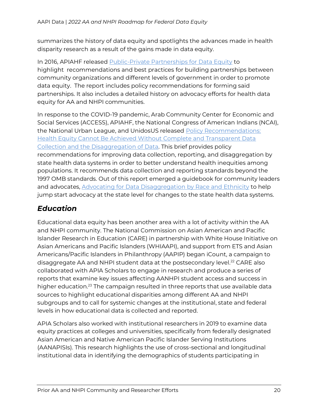summarizes the history of data equity and spotlights the advances made in health disparity research as a result of the gains made in data equity.

In 2016, APIAHF released [Public-Private Partnerships for Data Equity](https://www.apiahf.org/wp-content/uploads/2016/05/2016.04.28_PUBLIC-PRIVATE-PARTNERSHIPS-FOR-DATA-EQUITY_Report_0-1.pdf) to highlight recommendations and best practices for building partnerships between community organizations and different levels of government in order to promote data equity. The report includes policy recommendations for forming said partnerships. It also includes a detailed history on advocacy efforts for health data equity for AA and NHPI communities.

In response to the COVID-19 pandemic, Arab Community Center for Economic and Social Services (ACCESS), APIAHF, the National Congress of American Indians (NCAI), the National Urban League, and UnidosUS released [Policy Recommendations:](https://www.apiahf.org/resource/policy-recommendations-health-equity-cannot-be-achieved-without-complete-and-transparent-data-collection-and-the-disaggregation-of-data/)  [Health Equity Cannot Be Achieved Without Complete and Transparent Data](https://www.apiahf.org/resource/policy-recommendations-health-equity-cannot-be-achieved-without-complete-and-transparent-data-collection-and-the-disaggregation-of-data/)  [Collection and the Disaggregation of Data.](https://www.apiahf.org/resource/policy-recommendations-health-equity-cannot-be-achieved-without-complete-and-transparent-data-collection-and-the-disaggregation-of-data/) This brief provides policy recommendations for improving data collection, reporting, and disaggregation by state health data systems in order to better understand health inequities among populations. It recommends data collection and reporting standards beyond the 1997 OMB standards. Out of this report emerged a guidebook for community leaders and advocates, [Advocating for Data Disaggregation by Race and Ethnicity](https://www.apiahf.org/resource/advocating-for-data-disaggregation-by-race-and-ethnicity/) to help jump start advocacy at the state level for changes to the state health data systems.

#### <span id="page-19-0"></span>*Education*

Educational data equity has been another area with a lot of activity within the AA and NHPI community. The National Commission on Asian American and Pacific Islander Research in Education (CARE) in partnership with White House Initiative on Asian Americans and Pacific Islanders (WHIAAPI), and support from ETS and Asian Americans/Pacific Islanders in Philanthropy (AAPIP) began iCount, a campaign to disaggregate AA and NHPI student data at the postsecondary level.<sup>22</sup> CARE also collaborated with APIA Scholars to engage in research and produce a series of reports that examine key issues affecting AANHPI student access and success in higher education.<sup>23</sup> The campaign resulted in three reports that use available data sources to highlight educational disparities among different AA and NHPI subgroups and to call for systemic changes at the institutional, state and federal levels in how educational data is collected and reported.

APIA Scholars also worked with institutional researchers in 2019 to examine data equity practices at colleges and universities, specifically from federally designated Asian American and Native American Pacific Islander Serving Institutions (AANAPISIs). This research highlights the use of cross-sectional and longitudinal institutional data in identifying the demographics of students participating in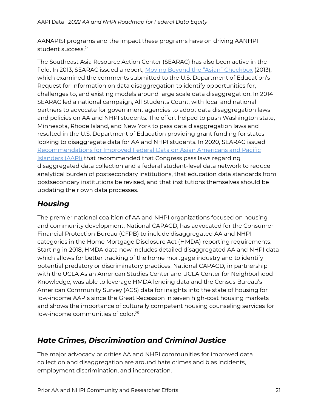AANAPISI programs and the impact these programs have on driving AANHPI student success.<sup>24</sup>

The Southeast Asia Resource Action Center (SEARAC) has also been active in the field. In 2013, SEARAC issued a report, Moving B[eyond the "Asian" Checkbox](https://www.searac.org/wp-content/uploads/2018/04/Moving-Beyond-the-22Asian22-Checkbox.pdf) (2013), which examined the comments submitted to the U.S. Department of Education's Request for Information on data disaggregation to identify opportunities for, challenges to, and existing models around large scale data disaggregation. In 2014 SEARAC led a national campaign, All Students Count, with local and national partners to advocate for government agencies to adopt data disaggregation laws and policies on AA and NHPI students. The effort helped to push Washington state, Minnesota, Rhode Island, and New York to pass data disaggregation laws and resulted in the U.S. Department of Education providing grant funding for states looking to disaggregate data for AA and NHPI students. In 2020, SEARAC issued [Recommendations for Improved Federal Data on Asian Americans and Pacific](https://www.searac.org/wp-content/uploads/2020/05/ihep_aapi_brief.pdf)  [Islanders \(AAPI\)](https://www.searac.org/wp-content/uploads/2020/05/ihep_aapi_brief.pdf) that recommended that Congress pass laws regarding disaggregated data collection and a federal student-level data network to reduce analytical burden of postsecondary institutions, that education data standards from postsecondary institutions be revised, and that institutions themselves should be updating their own data processes.

#### <span id="page-20-0"></span>*Housing*

The premier national coalition of AA and NHPI organizations focused on housing and community development, National CAPACD, has advocated for the Consumer Financial Protection Bureau (CFPB) to include disaggregated AA and NHPI categories in the Home Mortgage Disclosure Act (HMDA) reporting requirements. Starting in 2018, HMDA data now includes detailed disaggregated AA and NHPI data which allows for better tracking of the home mortgage industry and to identify potential predatory or discriminatory practices. National CAPACD, in partnership with the UCLA Asian American Studies Center and UCLA Center for Neighborhood Knowledge, was able to leverage HMDA lending data and the Census Bureau's American Community Survey (ACS) data for insights into the state of housing for low-income AAPIs since the Great Recession in seven high-cost housing markets and shows the importance of culturally competent housing counseling services for low-income communities of color.<sup>25</sup>

#### <span id="page-20-1"></span>*Hate Crimes, Discrimination and Criminal Justice*

The major advocacy priorities AA and NHPI communities for improved data collection and disaggregation are around hate crimes and bias incidents, employment discrimination, and incarceration.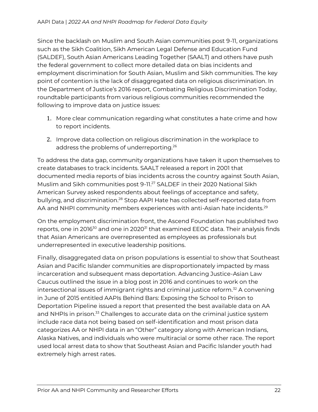Since the backlash on Muslim and South Asian communities post 9-11, organizations such as the Sikh Coalition, Sikh American Legal Defense and Education Fund (SALDEF), South Asian Americans Leading Together (SAALT) and others have push the federal government to collect more detailed data on bias incidents and employment discrimination for South Asian, Muslim and Sikh communities. The key point of contention is the lack of disaggregated data on religious discrimination. In the Department of Justice's 2016 report, Combating Religious Discrimination Today, roundtable participants from various religious communities recommended the following to improve data on justice issues:

- 1. More clear communication regarding what constitutes a hate crime and how to report incidents.
- 2. Improve data collection on religious discrimination in the workplace to address the problems of underreporting.<sup>26</sup>

To address the data gap, community organizations have taken it upon themselves to create databases to track incidents. SAALT released a report in 2001 that documented media reports of bias incidents across the country against South Asian, Muslim and Sikh communities post 9-11.<sup>27</sup> SALDEF in their 2020 National Sikh American Survey asked respondents about feelings of acceptance and safety, bullying, and discrimination.<sup>28</sup> Stop AAPI Hate has collected self-reported data from AA and NHPI community members experiences with anti-Asian hate incidents.<sup>29</sup>

On the employment discrimination front, the Ascend Foundation has published two reports, one in 2016<sup>30</sup> and one in 2020<sup>31</sup> that examined EEOC data. Their analysis finds that Asian Americans are overrepresented as employees as professionals but underrepresented in executive leadership positions.

Finally, disaggregated data on prison populations is essential to show that Southeast Asian and Pacific Islander communities are disproportionately impacted by mass incarceration and subsequent mass deportation. Advancing Justice-Asian Law Caucus outlined the issue in a blog post in 2016 and continues to work on the intersectional issues of immigrant rights and criminal justice reform.<sup>32</sup> A convening in June of 2015 entitled AAPIs Behind Bars: Exposing the School to Prison to Deportation Pipeline issued a report that presented the best available data on AA and NHPIs in prison.<sup>33</sup> Challenges to accurate data on the criminal justice system include race data not being based on self-identification and most prison data categorizes AA or NHPI data in an "Other" category along with American Indians, Alaska Natives, and individuals who were multiracial or some other race. The report used local arrest data to show that Southeast Asian and Pacific Islander youth had extremely high arrest rates.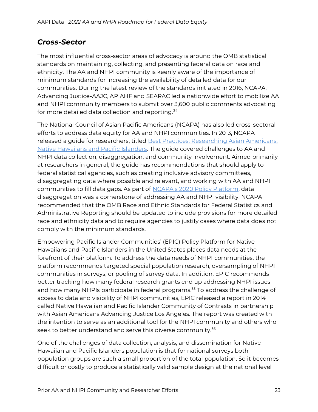#### <span id="page-22-0"></span>*Cross-Sector*

The most influential cross-sector areas of advocacy is around the OMB statistical standards on maintaining, collecting, and presenting federal data on race and ethnicity. The AA and NHPI community is keenly aware of the importance of minimum standards for increasing the availability of detailed data for our communities. During the latest review of the standards initiated in 2016, NCAPA, Advancing Justice-AAJC, APIAHF and SEARAC led a nationwide effort to mobilize AA and NHPI community members to submit over 3,600 public comments advocating for more detailed data collection and reporting.<sup>34</sup>

The National Council of Asian Pacific Americans (NCAPA) has also led cross-sectoral efforts to address data equity for AA and NHPI communities. In 2013, NCAPA released a guide for researchers, titled [Best Practices: Researching Asian Americans,](https://d3n8a8pro7vhmx.cloudfront.net/ncapa/pages/33/attachments/original/1430842908/Best-Practices-AANHPI.pdf?1430842908)  [Native Hawaiians and Pacific Islanders.](https://d3n8a8pro7vhmx.cloudfront.net/ncapa/pages/33/attachments/original/1430842908/Best-Practices-AANHPI.pdf?1430842908) The guide covered challenges to AA and NHPI data collection, disaggregation, and community involvement. Aimed primarily at researchers in general, the guide has recommendations that should apply to federal statistical agencies, such as creating inclusive advisory committees, disaggregating data where possible and relevant, and working with AA and NHPI communities to fill data gaps. As part of [NCAPA's 2020 Policy Platform](https://www.ncapaonline.org/wp-content/uploads/2020/05/NCAPA_PolicyPlatform_2020.pdf), data disaggregation was a cornerstone of addressing AA and NHPI visibility. NCAPA recommended that the OMB Race and Ethnic Standards for Federal Statistics and Administrative Reporting should be updated to include provisions for more detailed race and ethnicity data and to require agencies to justify cases where data does not comply with the minimum standards.

Empowering Pacific Islander Communities' (EPIC) Policy Platform for Native Hawaiians and Pacific Islanders in the United States places data needs at the forefront of their platform. To address the data needs of NHPI communities, the platform recommends targeted special population research, oversampling of NHPI communities in surveys, or pooling of survey data. In addition, EPIC recommends better tracking how many federal research grants end up addressing NHPI issues and how many NHPIs participate in federal programs.<sup>35</sup> To address the challenge of access to data and visibility of NHPI communities, EPIC released a report in 2014 called Native Hawaiian and Pacific Islander Community of Contrasts in partnership with Asian Americans Advancing Justice Los Angeles. The report was created with the intention to serve as an additional tool for the NHPI community and others who seek to better understand and serve this diverse community.<sup>36</sup>

One of the challenges of data collection, analysis, and dissemination for Native Hawaiian and Pacific Islanders population is that for national surveys both population groups are such a small proportion of the total population. So it becomes difficult or costly to produce a statistically valid sample design at the national level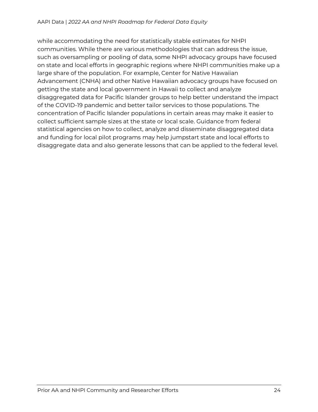while accommodating the need for statistically stable estimates for NHPI communities. While there are various methodologies that can address the issue, such as oversampling or pooling of data, some NHPI advocacy groups have focused on state and local efforts in geographic regions where NHPI communities make up a large share of the population. For example, Center for Native Hawaiian Advancement (CNHA) and other Native Hawaiian advocacy groups have focused on getting the state and local government in Hawaii to collect and analyze disaggregated data for Pacific Islander groups to help better understand the impact of the COVID-19 pandemic and better tailor services to those populations. The concentration of Pacific Islander populations in certain areas may make it easier to collect sufficient sample sizes at the state or local scale. Guidance from federal statistical agencies on how to collect, analyze and disseminate disaggregated data and funding for local pilot programs may help jumpstart state and local efforts to disaggregate data and also generate lessons that can be applied to the federal level.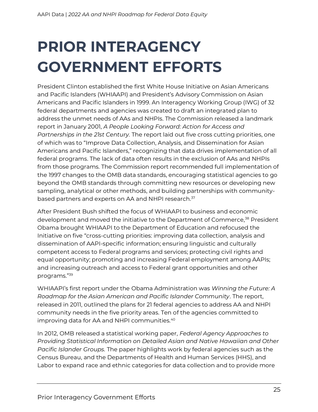# <span id="page-24-0"></span>**PRIOR INTERAGENCY GOVERNMENT EFFORTS**

President Clinton established the first White House Initiative on Asian Americans and Pacific Islanders (WHIAAPI) and President's Advisory Commission on Asian Americans and Pacific Islanders in 1999. An Interagency Working Group (IWG) of 32 federal departments and agencies was created to draft an integrated plan to address the unmet needs of AAs and NHPIs. The Commission released a landmark report in January 2001, *A People Looking Forward: Action for Access and Partnerships in the 21st Century.* The report laid out five cross cutting priorities, one of which was to "Improve Data Collection, Analysis, and Dissemination for Asian Americans and Pacific Islanders," recognizing that data drives implementation of all federal programs. The lack of data often results in the exclusion of AAs and NHPIs from those programs. The Commission report recommended full implementation of the 1997 changes to the OMB data standards, encouraging statistical agencies to go beyond the OMB standards through committing new resources or developing new sampling, analytical or other methods, and building partnerships with communitybased partners and experts on AA and NHPI research.<sup>37</sup>

After President Bush shifted the focus of WHIAAPI to business and economic development and moved the initiative to the Department of Commerce,<sup>38</sup> President Obama brought WHIAAPI to the Department of Education and refocused the Initiative on five "cross-cutting priorities: improving data collection, analysis and dissemination of AAPI-specific information; ensuring linguistic and culturally competent access to Federal programs and services; protecting civil rights and equal opportunity; promoting and increasing Federal employment among AAPIs; and increasing outreach and access to Federal grant opportunities and other programs."<sup>39</sup>

WHIAAPI's first report under the Obama Administration was *Winning the Future: A Roadmap for the Asian American and Pacific Islander Community*. The report, released in 2011, outlined the plans for 21 federal agencies to address AA and NHPI community needs in the five priority areas. Ten of the agencies committed to improving data for AA and NHPI communities.<sup>40</sup>

In 2012, OMB released a statistical working paper, *Federal Agency Approaches to Providing Statistical Information on Detailed Asian and Native Hawaiian and Other Pacific Islander Groups.* The paper highlights work by federal agencies such as the Census Bureau, and the Departments of Health and Human Services (HHS), and Labor to expand race and ethnic categories for data collection and to provide more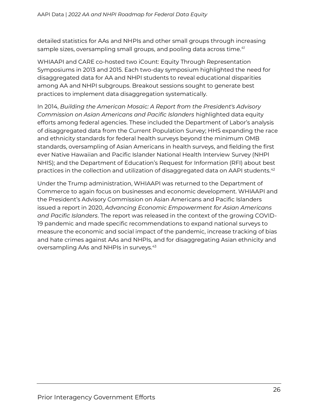detailed statistics for AAs and NHPIs and other small groups through increasing sample sizes, oversampling small groups, and pooling data across time.<sup>41</sup>

WHIAAPI and CARE co-hosted two iCount: Equity Through Representation Symposiums in 2013 and 2015. Each two-day symposium highlighted the need for disaggregated data for AA and NHPI students to reveal educational disparities among AA and NHPI subgroups. Breakout sessions sought to generate best practices to implement data disaggregation systematically.

In 2014, *Building the American Mosaic: A Report from the President's Advisory Commission on Asian Americans and Pacific Islanders* highlighted data equity efforts among federal agencies. These included the Department of Labor's analysis of disaggregated data from the Current Population Survey; HHS expanding the race and ethnicity standards for federal health surveys beyond the minimum OMB standards, oversampling of Asian Americans in health surveys, and fielding the first ever Native Hawaiian and Pacific Islander National Health Interview Survey (NHPI NHIS); and the Department of Education's Request for Information (RFI) about best practices in the collection and utilization of disaggregated data on AAPI students. $42$ 

Under the Trump administration, WHIAAPI was returned to the Department of Commerce to again focus on businesses and economic development. WHIAAPI and the President's Advisory Commission on Asian Americans and Pacific Islanders issued a report in 2020, *Advancing Economic Empowerment for Asian Americans and Pacific Islanders*. The report was released in the context of the growing COVID-19 pandemic and made specific recommendations to expand national surveys to measure the economic and social impact of the pandemic, increase tracking of bias and hate crimes against AAs and NHPIs, and for disaggregating Asian ethnicity and oversampling AAs and NHPIs in surveys.<sup>43</sup>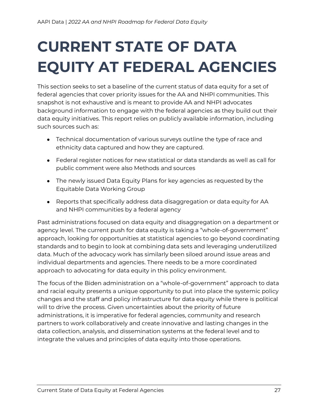# <span id="page-26-0"></span>**CURRENT STATE OF DATA EQUITY AT FEDERAL AGENCIES**

This section seeks to set a baseline of the current status of data equity for a set of federal agencies that cover priority issues for the AA and NHPI communities. This snapshot is not exhaustive and is meant to provide AA and NHPI advocates background information to engage with the federal agencies as they build out their data equity initiatives. This report relies on publicly available information, including such sources such as:

- Technical documentation of various surveys outline the type of race and ethnicity data captured and how they are captured.
- Federal register notices for new statistical or data standards as well as call for public comment were also Methods and sources
- The newly issued Data Equity Plans for key agencies as requested by the Equitable Data Working Group
- Reports that specifically address data disaggregation or data equity for AA and NHPI communities by a federal agency

Past administrations focused on data equity and disaggregation on a department or agency level. The current push for data equity is taking a "whole-of-government" approach, looking for opportunities at statistical agencies to go beyond coordinating standards and to begin to look at combining data sets and leveraging underutilized data. Much of the advocacy work has similarly been siloed around issue areas and individual departments and agencies. There needs to be a more coordinated approach to advocating for data equity in this policy environment.

The focus of the Biden administration on a "whole-of-government" approach to data and racial equity presents a unique opportunity to put into place the systemic policy changes and the staff and policy infrastructure for data equity while there is political will to drive the process. Given uncertainties about the priority of future administrations, it is imperative for federal agencies, community and research partners to work collaboratively and create innovative and lasting changes in the data collection, analysis, and dissemination systems at the federal level and to integrate the values and principles of data equity into those operations.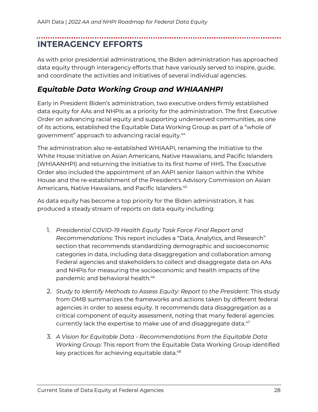## <span id="page-27-0"></span>**INTERAGENCY EFFORTS**

As with prior presidential administrations, the Biden administration has approached data equity through interagency efforts that have variously served to inspire, guide, and coordinate the activities and initiatives of several individual agencies.

#### <span id="page-27-1"></span>*Equitable Data Working Group and WHIAANHPI*

Early in President Biden's administration, two executive orders firmly established data equity for AAs and NHPIs as a priority for the administration. The first Executive Order on advancing racial equity and supporting underserved communities, as one of its actions, established the Equitable Data Working Group as part of a "whole of government" approach to advancing racial equity.<sup>44</sup>

The administration also re-established WHIAAPI, renaming the Initiative to the White House Initiative on Asian Americans, Native Hawaiians, and Pacific Islanders (WHIAANHPI) and returning the Initiative to its first home of HHS. The Executive Order also included the appointment of an AAPI senior liaison within the White House and the re-establishment of the President's Advisory Commission on Asian Americans, Native Hawaiians, and Pacific Islanders.<sup>45</sup>

As data equity has become a top priority for the Biden administration, it has produced a steady stream of reports on data equity including:

- 1. *Presidential COVID-19 Health Equity Task Force Final Report and Recommendations*: This report includes a "Data, Analytics, and Research" section that recommends standardizing demographic and socioeconomic categories in data, including data disaggregation and collaboration among Federal agencies and stakeholders to collect and disaggregate data on AAs and NHPIs for measuring the socioeconomic and health impacts of the pandemic and behavioral health.<sup>46</sup>
- 2. *Study to Identify Methods to Assess Equity: Report to the President*: This study from OMB summarizes the frameworks and actions taken by different federal agencies in order to assess equity. It recommends data disaggregation as a critical component of equity assessment, noting that many federal agencies currently lack the expertise to make use of and disaggregate data.<sup>47</sup>
- 3. *A Vision for Equitable Data - Recommendations from the Equitable Data Working Group:* This report from the Equitable Data Working Group identified key practices for achieving equitable data.<sup>48</sup>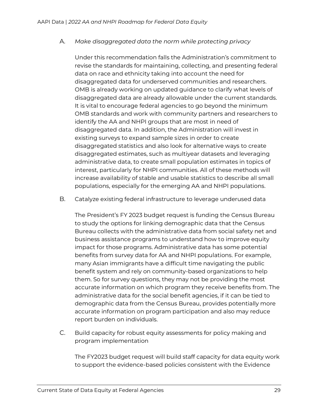#### A. *Make disaggregated data the norm while protecting privacy*

Under this recommendation falls the Administration's commitment to revise the standards for maintaining, collecting, and presenting federal data on race and ethnicity taking into account the need for disaggregated data for underserved communities and researchers. OMB is already working on updated guidance to clarify what levels of disaggregated data are already allowable under the current standards. It is vital to encourage federal agencies to go beyond the minimum OMB standards and work with community partners and researchers to identify the AA and NHPI groups that are most in need of disaggregated data. In addition, the Administration will invest in existing surveys to expand sample sizes in order to create disaggregated statistics and also look for alternative ways to create disaggregated estimates, such as multiyear datasets and leveraging administrative data, to create small population estimates in topics of interest, particularly for NHPI communities. All of these methods will increase availability of stable and usable statistics to describe all small populations, especially for the emerging AA and NHPI populations.

B. Catalyze existing federal infrastructure to leverage underused data

The President's FY 2023 budget request is funding the Census Bureau to study the options for linking demographic data that the Census Bureau collects with the administrative data from social safety net and business assistance programs to understand how to improve equity impact for those programs. Administrative data has some potential benefits from survey data for AA and NHPI populations. For example, many Asian immigrants have a difficult time navigating the public benefit system and rely on community-based organizations to help them. So for survey questions, they may not be providing the most accurate information on which program they receive benefits from. The administrative data for the social benefit agencies, if it can be tied to demographic data from the Census Bureau, provides potentially more accurate information on program participation and also may reduce report burden on individuals.

C. Build capacity for robust equity assessments for policy making and program implementation

The FY2023 budget request will build staff capacity for data equity work to support the evidence-based policies consistent with the Evidence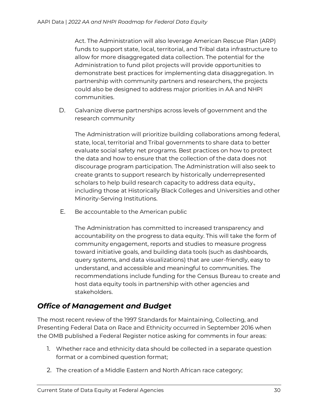Act. The Administration will also leverage American Rescue Plan (ARP) funds to support state, local, territorial, and Tribal data infrastructure to allow for more disaggregated data collection. The potential for the Administration to fund pilot projects will provide opportunities to demonstrate best practices for implementing data disaggregation. In partnership with community partners and researchers, the projects could also be designed to address major priorities in AA and NHPI communities.

D. Galvanize diverse partnerships across levels of government and the research community

The Administration will prioritize building collaborations among federal, state, local, territorial and Tribal governments to share data to better evaluate social safety net programs. Best practices on how to protect the data and how to ensure that the collection of the data does not discourage program participation. The Administration will also seek to create grants to support research by historically underrepresented scholars to help build research capacity to address data equity., including those at Historically Black Colleges and Universities and other Minority-Serving Institutions.

E. Be accountable to the American public

The Administration has committed to increased transparency and accountability on the progress to data equity. This will take the form of community engagement, reports and studies to measure progress toward initiative goals, and building data tools (such as dashboards, query systems, and data visualizations) that are user-friendly, easy to understand, and accessible and meaningful to communities. The recommendations include funding for the Census Bureau to create and host data equity tools in partnership with other agencies and stakeholders.

#### <span id="page-29-0"></span>*Office of Management and Budget*

The most recent review of the 1997 Standards for Maintaining, Collecting, and Presenting Federal Data on Race and Ethnicity occurred in September 2016 when the OMB published a Federal Register notice asking for comments in four areas:

- 1. Whether race and ethnicity data should be collected in a separate question format or a combined question format;
- 2. The creation of a Middle Eastern and North African race category;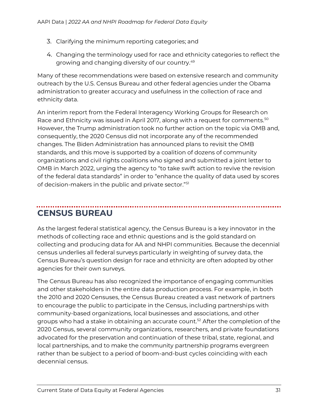- 3. Clarifying the minimum reporting categories; and
- 4. Changing the terminology used for race and ethnicity categories to reflect the growing and changing diversity of our country.<sup>49</sup>

Many of these recommendations were based on extensive research and community outreach by the U.S. Census Bureau and other federal agencies under the Obama administration to greater accuracy and usefulness in the collection of race and ethnicity data.

An interim report from the Federal Interagency Working Groups for Research on Race and Ethnicity was issued in April 2017, along with a request for comments.<sup>50</sup> However, the Trump administration took no further action on the topic via OMB and, consequently, the 2020 Census did not incorporate any of the recommended changes. The Biden Administration has announced plans to revisit the OMB standards, and this move is supported by a coalition of dozens of community organizations and civil rights coalitions who signed and submitted a joint letter to OMB in March 2022, urging the agency to "to take swift action to revive the revision of the federal data standards" in order to "enhance the quality of data used by scores of decision-makers in the public and private sector."<sup>51</sup>

## <span id="page-30-0"></span>**CENSUS BUREAU**

As the largest federal statistical agency, the Census Bureau is a key innovator in the methods of collecting race and ethnic questions and is the gold standard on collecting and producing data for AA and NHPI communities. Because the decennial census underlies all federal surveys particularly in weighting of survey data, the Census Bureau's question design for race and ethnicity are often adopted by other agencies for their own surveys.

The Census Bureau has also recognized the importance of engaging communities and other stakeholders in the entire data production process. For example, in both the 2010 and 2020 Censuses, the Census Bureau created a vast network of partners to encourage the public to participate in the Census, including partnerships with community-based organizations, local businesses and associations, and other groups who had a stake in obtaining an accurate count.<sup>52</sup> After the completion of the 2020 Census, several community organizations, researchers, and private foundations advocated for the preservation and continuation of these tribal, state, regional, and local partnerships, and to make the community partnership programs evergreen rather than be subject to a period of boom-and-bust cycles coinciding with each decennial census.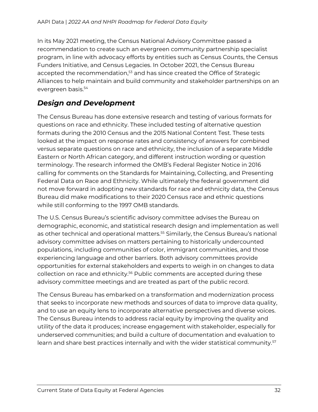In its May 2021 meeting, the Census National Advisory Committee passed a recommendation to create such an evergreen community partnership specialist program, in line with advocacy efforts by entities such as Census Counts, the Census Funders Initiative, and Census Legacies. In October 2021, the Census Bureau accepted the recommendation,<sup>53</sup> and has since created the Office of Strategic Alliances to help maintain and build community and stakeholder partnerships on an evergreen basis.<sup>54</sup>

#### <span id="page-31-0"></span>*Design and Development*

The Census Bureau has done extensive research and testing of various formats for questions on race and ethnicity. These included testing of alternative question formats during the 2010 Census and the 2015 National Content Test. These tests looked at the impact on response rates and consistency of answers for combined versus separate questions on race and ethnicity, the inclusion of a separate Middle Eastern or North African category, and different instruction wording or question terminology. The research informed the OMB's Federal Register Notice in 2016 calling for comments on the Standards for Maintaining, Collecting, and Presenting Federal Data on Race and Ethnicity. While ultimately the federal government did not move forward in adopting new standards for race and ethnicity data, the Census Bureau did make modifications to their 2020 Census race and ethnic questions while still conforming to the 1997 OMB standards.

The U.S. Census Bureau's scientific advisory committee advises the Bureau on demographic, economic, and statistical research design and implementation as well as other technical and operational matters.<sup>55</sup> Similarly, the Census Bureau's national advisory committee advises on matters pertaining to historically undercounted populations, including communities of color, immigrant communities, and those experiencing language and other barriers. Both advisory committees provide opportunities for external stakeholders and experts to weigh in on changes to data collection on race and ethnicity.<sup>56</sup> Public comments are accepted during these advisory committee meetings and are treated as part of the public record.

The Census Bureau has embarked on a transformation and modernization process that seeks to incorporate new methods and sources of data to improve data quality, and to use an equity lens to incorporate alternative perspectives and diverse voices. The Census Bureau intends to address racial equity by improving the quality and utility of the data it produces; increase engagement with stakeholder, especially for underserved communities; and build a culture of documentation and evaluation to learn and share best practices internally and with the wider statistical community.<sup>57</sup>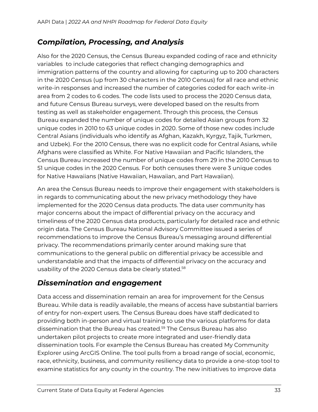#### <span id="page-32-0"></span>*Compilation, Processing, and Analysis*

Also for the 2020 Census, the Census Bureau expanded coding of race and ethnicity variables to include categories that reflect changing demographics and immigration patterns of the country and allowing for capturing up to 200 characters in the 2020 Census (up from 30 characters in the 2010 Census) for all race and ethnic write-in responses and increased the number of categories coded for each write-in area from 2 codes to 6 codes. The code lists used to process the 2020 Census data, and future Census Bureau surveys, were developed based on the results from testing as well as stakeholder engagement. Through this process, the Census Bureau expanded the number of unique codes for detailed Asian groups from 32 unique codes in 2010 to 63 unique codes in 2020. Some of those new codes include Central Asians (individuals who identify as Afghan, Kazakh, Kyrgyz, Tajik, Turkmen, and Uzbek). For the 2010 Census, there was no explicit code for Central Asians, while Afghans were classified as White. For Native Hawaiian and Pacific Islanders, the Census Bureau increased the number of unique codes from 29 in the 2010 Census to 51 unique codes in the 2020 Census. For both censuses there were 3 unique codes for Native Hawaiians (Native Hawaiian, Hawaiian, and Part Hawaiian).

An area the Census Bureau needs to improve their engagement with stakeholders is in regards to communicating about the new privacy methodology they have implemented for the 2020 Census data products. The data user community has major concerns about the impact of differential privacy on the accuracy and timeliness of the 2020 Census data products, particularly for detailed race and ethnic origin data. The Census Bureau National Advisory Committee issued a series of recommendations to improve the Census Bureau's messaging around differential privacy. The recommendations primarily center around making sure that communications to the general public on differential privacy be accessible and understandable and that the impacts of differential privacy on the accuracy and usability of the 2020 Census data be clearly stated.<sup>58</sup>

#### <span id="page-32-1"></span>*Dissemination and engagement*

Data access and dissemination remain an area for improvement for the Census Bureau. While data is readily available, the means of access have substantial barriers of entry for non-expert users. The Census Bureau does have staff dedicated to providing both in-person and virtual training to use the various platforms for data dissemination that the Bureau has created.<sup>59</sup> The Census Bureau has also undertaken pilot projects to create more integrated and user-friendly data dissemination tools. For example the Census Bureau has created My Community Explorer using ArcGIS Online. The tool pulls from a broad range of social, economic, race, ethnicity, business, and community resiliency data to provide a one-stop tool to examine statistics for any county in the country. The new initiatives to improve data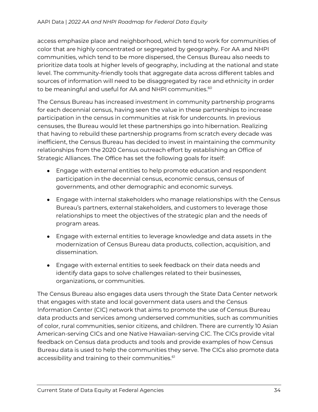access emphasize place and neighborhood, which tend to work for communities of color that are highly concentrated or segregated by geography. For AA and NHPI communities, which tend to be more dispersed, the Census Bureau also needs to prioritize data tools at higher levels of geography, including at the national and state level. The community-friendly tools that aggregate data across different tables and sources of information will need to be disaggregated by race and ethnicity in order to be meaningful and useful for AA and NHPI communities.<sup>60</sup>

The Census Bureau has increased investment in community partnership programs for each decennial census, having seen the value in these partnerships to increase participation in the census in communities at risk for undercounts. In previous censuses, the Bureau would let these partnerships go into hibernation. Realizing that having to rebuild these partnership programs from scratch every decade was inefficient, the Census Bureau has decided to invest in maintaining the community relationships from the 2020 Census outreach effort by establishing an Office of Strategic Alliances. The Office has set the following goals for itself:

- Engage with external entities to help promote education and respondent participation in the decennial census, economic census, census of governments, and other demographic and economic surveys.
- Engage with internal stakeholders who manage relationships with the Census Bureau's partners, external stakeholders, and customers to leverage those relationships to meet the objectives of the strategic plan and the needs of program areas.
- Engage with external entities to leverage knowledge and data assets in the modernization of Census Bureau data products, collection, acquisition, and dissemination.
- Engage with external entities to seek feedback on their data needs and identify data gaps to solve challenges related to their businesses, organizations, or communities.

The Census Bureau also engages data users through the State Data Center network that engages with state and local government data users and the Census Information Center (CIC) network that aims to promote the use of Census Bureau data products and services among underserved communities, such as communities of color, rural communities, senior citizens, and children. There are currently 10 Asian American-serving CICs and one Native Hawaiian-serving CIC. The CICs provide vital feedback on Census data products and tools and provide examples of how Census Bureau data is used to help the communities they serve. The CICs also promote data accessibility and training to their communities.<sup>61</sup>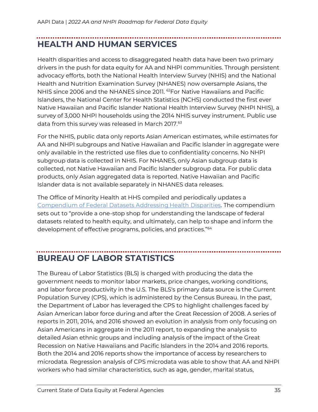## <span id="page-34-0"></span>**HEALTH AND HUMAN SERVICES**

Health disparities and access to disaggregated health data have been two primary drivers in the push for data equity for AA and NHPI communities. Through persistent advocacy efforts, both the National Health Interview Survey (NHIS) and the National Health and Nutrition Examination Survey (NHANES) now oversample Asians, the NHIS since 2006 and the NHANES since 2011. <sup>62</sup>For Native Hawaiians and Pacific Islanders, the National Center for Health Statistics (NCHS) conducted the first ever Native Hawaiian and Pacific Islander National Health Interview Survey (NHPI NHIS), a survey of 3,000 NHPI households using the 2014 NHIS survey instrument. Public use data from this survey was released in March 2017.<sup>63</sup>

For the NHIS, public data only reports Asian American estimates, while estimates for AA and NHPI subgroups and Native Hawaiian and Pacific Islander in aggregate were only available in the restricted use files due to confidentiality concerns. No NHPI subgroup data is collected in NHIS. For NHANES, only Asian subgroup data is collected, not Native Hawaiian and Pacific Islander subgroup data. For public data products, only Asian aggregated data is reported. Native Hawaiian and Pacific Islander data is not available separately in NHANES data releases.

The Office of Minority Health at HHS compiled and periodically updates a [Compendium of Federal Datasets Addressing Health Disparities.](https://www.minorityhealth.hhs.gov/assets/pdf/2019%20IHEC%20Data%20Compendium_FullDocument_RegularFormat%20-%207-20-20.pdf) The compendium sets out to "provide a one-stop shop for understanding the landscape of federal datasets related to health equity, and ultimately, can help to shape and inform the development of effective programs, policies, and practices."<sup>64</sup>

### <span id="page-34-1"></span>**BUREAU OF LABOR STATISTICS**

The Bureau of Labor Statistics (BLS) is charged with producing the data the government needs to monitor labor markets, price changes, working conditions, and labor force productivity in the U.S. The BLS's primary data source is the Current Population Survey (CPS), which is administered by the Census Bureau. In the past, the Department of Labor has leveraged the CPS to highlight challenges faced by Asian American labor force during and after the Great Recession of 2008. A series of reports in 2011, 2014, and 2016 showed an evolution in analysis from only focusing on Asian Americans in aggregate in the 2011 report, to expanding the analysis to detailed Asian ethnic groups and including analysis of the impact of the Great Recession on Native Hawaiians and Pacific Islanders in the 2014 and 2016 reports. Both the 2014 and 2016 reports show the importance of access by researchers to microdata. Regression analysis of CPS microdata was able to show that AA and NHPI workers who had similar characteristics, such as age, gender, marital status,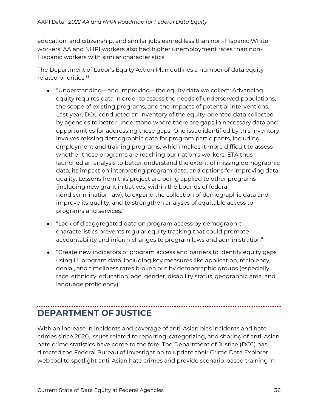education, and citizenship, and similar jobs earned less than non-Hispanic White workers. AA and NHPI workers also had higher unemployment rates than non-Hispanic workers with similar characteristics.

The Department of Labor's Equity Action Plan outlines a number of data equityrelated priorities.<sup>65</sup>

- "Understanding—and improving—the equity data we collect: Advancing equity requires data in order to assess the needs of underserved populations, the scope of existing programs, and the impacts of potential interventions. Last year, DOL conducted an inventory of the equity-oriented data collected by agencies to better understand where there are gaps in necessary data and opportunities for addressing those gaps. One issue identified by this inventory involves missing demographic data for program participants, including employment and training programs, which makes it more difficult to assess whether those programs are reaching our nation's workers. ETA thus launched an analysis to better understand the extent of missing demographic data, its impact on interpreting program data, and options for improving data quality. Lessons from this project are being applied to other programs (including new grant initiatives, within the bounds of federal nondiscrimination law), to expand the collection of demographic data and improve its quality, and to strengthen analyses of equitable access to programs and services."
- "Lack of disaggregated data on program access by demographic characteristics prevents regular equity tracking that could promote accountability and inform changes to program laws and administration"
- "Create new indicators of program access and barriers to identify equity gaps using UI program data, including key measures like application, recipiency, denial, and timeliness rates broken out by demographic groups (especially race, ethnicity, education, age, gender, disability status, geographic area, and language proficiency)"

### <span id="page-35-0"></span>**DEPARTMENT OF JUSTICE**

With an increase in incidents and coverage of anti-Asian bias incidents and hate crimes since 2020, issues related to reporting, categorizing, and sharing of anti-Asian hate crime statistics have come to the fore. The Department of Justice (DOJ) has directed the Federal Bureau of Investigation to update their Crime Data Explorer web tool to spotlight anti-Asian hate crimes and provide scenario-based training in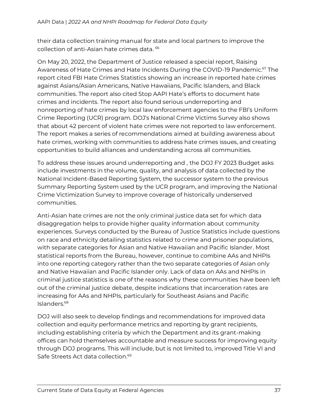their data collection training manual for state and local partners to improve the collection of anti-Asian hate crimes data. <sup>66</sup>

On May 20, 2022, the Department of Justice released a special report, Raising Awareness of Hate Crimes and Hate Incidents During the COVID-19 Pandemic.<sup>67</sup> The report cited FBI Hate Crimes Statistics showing an increase in reported hate crimes against Asians/Asian Americans, Native Hawaiians, Pacific Islanders, and Black communities. The report also cited Stop AAPI Hate's efforts to document hate crimes and incidents. The report also found serious underreporting and nonreporting of hate crimes by local law enforcement agencies to the FBI's Uniform Crime Reporting (UCR) program. DOJ's National Crime Victims Survey also shows that about 42 percent of violent hate crimes were not reported to law enforcement. The report makes a series of recommendations aimed at building awareness about hate crimes, working with communities to address hate crimes issues, and creating opportunities to build alliances and understanding across all communities.

To address these issues around underreporting and , the DOJ FY 2023 Budget asks include investments in the volume, quality, and analysis of data collected by the National Incident-Based Reporting System, the successor system to the previous Summary Reporting System used by the UCR program, and improving the National Crime Victimization Survey to improve coverage of historically underserved communities.

Anti-Asian hate crimes are not the only criminal justice data set for which data disaggregation helps to provide higher quality information about community experiences. Surveys conducted by the Bureau of Justice Statistics include questions on race and ethnicity detailing statistics related to crime and prisoner populations, with separate categories for Asian and Native Hawaiian and Pacific Islander. Most statistical reports from the Bureau, however, continue to combine AAs and NHPIs into one reporting category rather than the two separate categories of Asian only and Native Hawaiian and Pacific Islander only. Lack of data on AAs and NHPIs in criminal justice statistics is one of the reasons why these communities have been left out of the criminal justice debate, despite indications that incarceration rates are increasing for AAs and NHPIs, particularly for Southeast Asians and Pacific Islanders.<sup>68</sup>

DOJ will also seek to develop findings and recommendations for improved data collection and equity performance metrics and reporting by grant recipients, including establishing criteria by which the Department and its grant-making offices can hold themselves accountable and measure success for improving equity through DOJ programs. This will include, but is not limited to, improved Title VI and Safe Streets Act data collection.<sup>69</sup>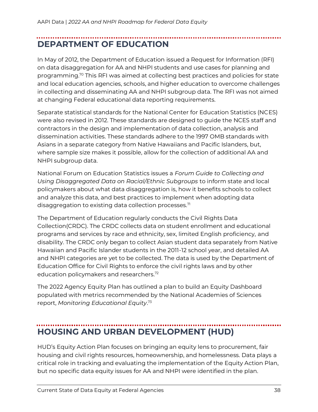## <span id="page-37-0"></span>**DEPARTMENT OF EDUCATION**

In May of 2012, the Department of Education issued a Request for Information (RFI) on data disaggregation for AA and NHPI students and use cases for planning and programming.<sup>70</sup> This RFI was aimed at collecting best practices and policies for state and local education agencies, schools, and higher education to overcome challenges in collecting and disseminating AA and NHPI subgroup data. The RFI was not aimed at changing Federal educational data reporting requirements.

Separate statistical standards for the National Center for Education Statistics (NCES) were also revised in 2012. These standards are designed to guide the NCES staff and contractors in the design and implementation of data collection, analysis and dissemination activities. These standards adhere to the 1997 OMB standards with Asians in a separate category from Native Hawaiians and Pacific Islanders, but, where sample size makes it possible, allow for the collection of additional AA and NHPI subgroup data.

National Forum on Education Statistics issues a *Forum Guide to Collecting and Using Disaggregated Data on Racial/Ethnic Subgroups* to inform state and local policymakers about what data disaggregation is, how it benefits schools to collect and analyze this data, and best practices to implement when adopting data disaggregation to existing data collection processes. $71$ 

The Department of Education regularly conducts the Civil Rights Data Collection(CRDC). The CRDC collects data on student enrollment and educational programs and services by race and ethnicity, sex, limited English proficiency, and disability. The CRDC only began to collect Asian student data separately from Native Hawaiian and Pacific Islander students in the 2011-12 school year, and detailed AA and NHPI categories are yet to be collected. The data is used by the Department of Education Office for Civil Rights to enforce the civil rights laws and by other education policymakers and researchers.<sup>72</sup>

The 2022 Agency Equity Plan has outlined a plan to build an Equity Dashboard populated with metrics recommended by the National Academies of Sciences report, *Monitoring Educational Equity*. 73

### <span id="page-37-1"></span>**HOUSING AND URBAN DEVELOPMENT (HUD)**

HUD's Equity Action Plan focuses on bringing an equity lens to procurement, fair housing and civil rights resources, homeownership, and homelessness. Data plays a critical role in tracking and evaluating the implementation of the Equity Action Plan, but no specific data equity issues for AA and NHPI were identified in the plan.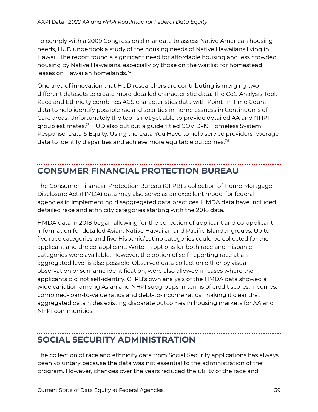To comply with a 2009 Congressional mandate to assess Native American housing needs, HUD undertook a study of the housing needs of Native Hawaiians living in Hawaii. The report found a significant need for affordable housing and less crowded housing by Native Hawaiians, especially by those on the waitlist for homestead leases on Hawaiian homelands.<sup>74</sup>

One area of innovation that HUD researchers are contributing is merging two different datasets to create more detailed characteristic data. The CoC Analysis Tool: Race and Ethnicity combines ACS characteristics data with Point-In-Time Count data to help identify possible racial disparities in homelessness in Continuums of Care areas. Unfortunately the tool is not yet able to provide detailed AA and NHPI group estimates.<sup>75</sup> HUD also put out a guide titled COVID-19 Homeless System Response: Data & Equity: Using the Data You Have to help service providers leverage data to identify disparities and achieve more equitable outcomes.<sup>76</sup>

## <span id="page-38-0"></span>**CONSUMER FINANCIAL PROTECTION BUREAU**

The Consumer Financial Protection Bureau (CFPB)'s collection of Home Mortgage Disclosure Act (HMDA) data may also serve as an excellent model for federal agencies in implementing disaggregated data practices. HMDA data have included detailed race and ethnicity categories starting with the 2018 data.

HMDA data in 2018 began allowing for the collection of applicant and co-applicant information for detailed Asian, Native Hawaiian and Pacific Islander groups. Up to five race categories and five Hispanic/Latino categories could be collected for the applicant and the co-applicant. Write-in options for both race and Hispanic categories were available. However, the option of self-reporting race at an aggregated level is also possible, Observed data collection either by visual observation or surname identification, were also allowed in cases where the applicants did not self-identify. CFPB's own analysis of the HMDA data showed a wide variation among Asian and NHPI subgroups in terms of credit scores, incomes, combined-loan-to-value ratios and debt-to-income ratios, making it clear that aggregated data hides existing disparate outcomes in housing markets for AA and NHPI communities.

### <span id="page-38-1"></span>**SOCIAL SECURITY ADMINISTRATION**

The collection of race and ethnicity data from Social Security applications has always been voluntary because the data was not essential to the administration of the program. However, changes over the years reduced the utility of the race and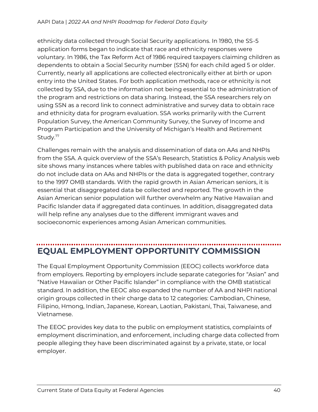ethnicity data collected through Social Security applications. In 1980, the SS-5 application forms began to indicate that race and ethnicity responses were voluntary. In 1986, the Tax Reform Act of 1986 required taxpayers claiming children as dependents to obtain a Social Security number (SSN) for each child aged 5 or older. Currently, nearly all applications are collected electronically either at birth or upon entry into the United States. For both application methods, race or ethnicity is not collected by SSA, due to the information not being essential to the administration of the program and restrictions on data sharing. Instead, the SSA researchers rely on using SSN as a record link to connect administrative and survey data to obtain race and ethnicity data for program evaluation. SSA works primarily with the Current Population Survey, the American Community Survey, the Survey of Income and Program Participation and the University of Michigan's Health and Retirement Study.<sup>77</sup>

Challenges remain with the analysis and dissemination of data on AAs and NHPIs from the SSA. A quick overview of the SSA's Research, Statistics & Policy Analysis web site shows many instances where tables with published data on race and ethnicity do not include data on AAs and NHPIs or the data is aggregated together, contrary to the 1997 OMB standards. With the rapid growth in Asian American seniors, it is essential that disaggregated data be collected and reported. The growth in the Asian American senior population will further overwhelm any Native Hawaiian and Pacific Islander data if aggregated data continues. In addition, disaggregated data will help refine any analyses due to the different immigrant waves and socioeconomic experiences among Asian American communities.

## <span id="page-39-0"></span>**EQUAL EMPLOYMENT OPPORTUNITY COMMISSION**

The Equal Employment Opportunity Commission (EEOC) collects workforce data from employers. Reporting by employers include separate categories for "Asian" and "Native Hawaiian or Other Pacific Islander" in compliance with the OMB statistical standard. In addition, the EEOC also expanded the number of AA and NHPI national origin groups collected in their charge data to 12 categories: Cambodian, Chinese, Filipino, Hmong, Indian, Japanese, Korean, Laotian, Pakistani, Thai, Taiwanese, and Vietnamese.

The EEOC provides key data to the public on employment statistics, complaints of employment discrimination, and enforcement, including charge data collected from people alleging they have been discriminated against by a private, state, or local employer.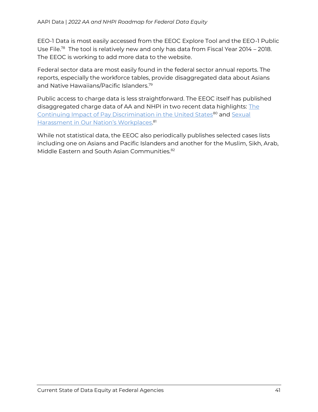EEO-1 Data is most easily accessed from the EEOC Explore Tool and the EEO-1 Public Use File.<sup>78</sup> The tool is relatively new and only has data from Fiscal Year 2014 – 2018. The EEOC is working to add more data to the website.

Federal sector data are most easily found in the federal sector annual reports. The reports, especially the workforce tables, provide disaggregated data about Asians and Native Hawaiians/Pacific Islanders.<sup>79</sup>

Public access to charge data is less straightforward. The EEOC itself has published disaggregated charge data of AA and NHPI in two recent data highlights: [The](https://www.eeoc.gov/continuing-impact-pay-discrimination-united-states)  [Continuing Impact of Pay Discrimination in the United States](https://www.eeoc.gov/continuing-impact-pay-discrimination-united-states)<sup>80</sup> and Sexual Harassme[nt in Our Nation's Workplaces](https://www.eeoc.gov/sexual-harassment-our-nations-workplaces). 81

While not statistical data, the EEOC also periodically publishes selected cases lists including one on Asians and Pacific Islanders and another for the Muslim, Sikh, Arab, Middle Eastern and South Asian Communities.<sup>82</sup>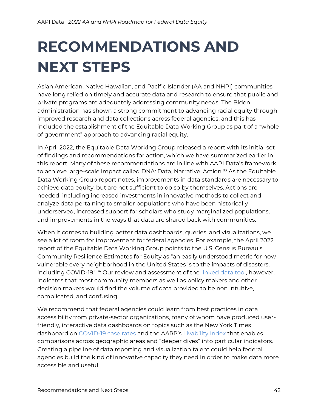# <span id="page-41-0"></span>**RECOMMENDATIONS AND NEXT STEPS**

Asian American, Native Hawaiian, and Pacific Islander (AA and NHPI) communities have long relied on timely and accurate data and research to ensure that public and private programs are adequately addressing community needs. The Biden administration has shown a strong commitment to advancing racial equity through improved research and data collections across federal agencies, and this has included the establishment of the Equitable Data Working Group as part of a "whole of government" approach to advancing racial equity.

In April 2022, the Equitable Data Working Group released a report with its initial set of findings and recommendations for action, which we have summarized earlier in this report. Many of these recommendations are in line with AAPI Data's framework to achieve large-scale impact called DNA: Data, Narrative, Action.<sup>83</sup> As the Equitable Data Working Group report notes, improvements in data standards are necessary to achieve data equity, but are not sufficient to do so by themselves. Actions are needed, including increased investments in innovative methods to collect and analyze data pertaining to smaller populations who have been historically underserved, increased support for scholars who study marginalized populations, and improvements in the ways that data are shared back with communities.

When it comes to building better data dashboards, queries, and visualizations, we see a lot of room for improvement for federal agencies. For example, the April 2022 report of the Equitable Data Working Group points to the U.S. Census Bureau's Community Resilience Estimates for Equity as "an easily understood metric for how vulnerable every neighborhood in the United States is to the impacts of disasters, including COVID-19."<sup>84</sup> Our review and assessment of the *linked data tool*, however, indicates that most community members as well as policy makers and other decision makers would find the volume of data provided to be non intuitive, complicated, and confusing.

We recommend that federal agencies could learn from best practices in data accessibility from private-sector organizations, many of whom have produced userfriendly, interactive data dashboards on topics such as the New York Times dashboard on [COVID-19 case rates](https://www.nytimes.com/interactive/2021/us/covid-cases.html) and the AARP's [Livability Index](https://livabilityindex.aarp.org/) that enables comparisons across geographic areas and "deeper dives" into particular indicators. Creating a pipeline of data reporting and visualization talent could help federal agencies build the kind of innovative capacity they need in order to make data more accessible and useful.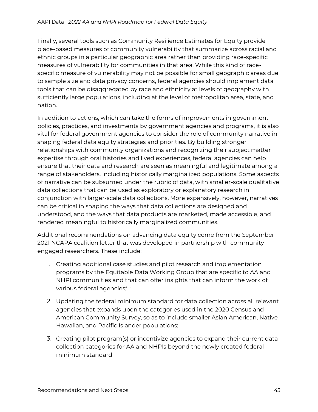Finally, several tools such as Community Resilience Estimates for Equity provide place-based measures of community vulnerability that summarize across racial and ethnic groups in a particular geographic area rather than providing race-specific measures of vulnerability for communities in that area. While this kind of racespecific measure of vulnerability may not be possible for small geographic areas due to sample size and data privacy concerns, federal agencies should implement data tools that can be disaggregated by race and ethnicity at levels of geography with sufficiently large populations, including at the level of metropolitan area, state, and nation.

In addition to actions, which can take the forms of improvements in government policies, practices, and investments by government agencies and programs, it is also vital for federal government agencies to consider the role of community narrative in shaping federal data equity strategies and priorities. By building stronger relationships with community organizations and recognizing their subject matter expertise through oral histories and lived experiences, federal agencies can help ensure that their data and research are seen as meaningful and legitimate among a range of stakeholders, including historically marginalized populations. Some aspects of narrative can be subsumed under the rubric of data, with smaller-scale qualitative data collections that can be used as exploratory or explanatory research in conjunction with larger-scale data collections. More expansively, however, narratives can be critical in shaping the ways that data collections are designed and understood, and the ways that data products are marketed, made accessible, and rendered meaningful to historically marginalized communities.

Additional recommendations on advancing data equity come from the September 2021 NCAPA coalition letter that was developed in partnership with communityengaged researchers. These include:

- 1. Creating additional case studies and pilot research and implementation programs by the Equitable Data Working Group that are specific to AA and NHPI communities and that can offer insights that can inform the work of various federal agencies;<sup>85</sup>
- 2. Updating the federal minimum standard for data collection across all relevant agencies that expands upon the categories used in the 2020 Census and American Community Survey, so as to include smaller Asian American, Native Hawaiian, and Pacific Islander populations;
- 3. Creating pilot program(s) or incentivize agencies to expand their current data collection categories for AA and NHPIs beyond the newly created federal minimum standard;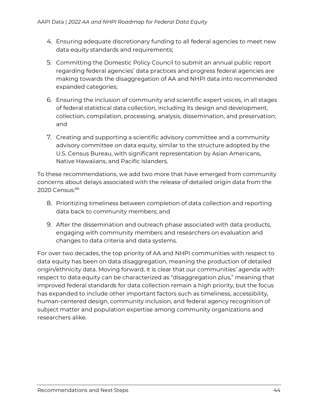- 4. Ensuring adequate discretionary funding to all federal agencies to meet new data equity standards and requirements;
- 5. Committing the Domestic Policy Council to submit an annual public report regarding federal agencies' data practices and progress federal agencies are making towards the disaggregation of AA and NHPI data into recommended expanded categories;
- 6. Ensuring the inclusion of community and scientific expert voices, in all stages of federal statistical data collection, including its design and development, collection, compilation, processing, analysis, dissemination, and preservation; and
- 7. Creating and supporting a scientific advisory committee and a community advisory committee on data equity, similar to the structure adopted by the U.S. Census Bureau, with significant representation by Asian Americans, Native Hawaiians, and Pacific Islanders.

To these recommendations, we add two more that have emerged from community concerns about delays associated with the release of detailed origin data from the 2020 Census:<sup>86</sup>

- 8. Prioritizing timeliness between completion of data collection and reporting data back to community members; and
- 9. After the dissemination and outreach phase associated with data products, engaging with community members and researchers on evaluation and changes to data criteria and data systems.

For over two decades, the top priority of AA and NHPI communities with respect to data equity has been on data disaggregation, meaning the production of detailed origin/ethnicity data. Moving forward, it is clear that our communities' agenda with respect to data equity can be characterized as "disaggregation plus," meaning that improved federal standards for data collection remain a high priority, but the focus has expanded to include other important factors such as timeliness, accessibility, human-centered design, community inclusion, and federal agency recognition of subject matter and population expertise among community organizations and researchers alike.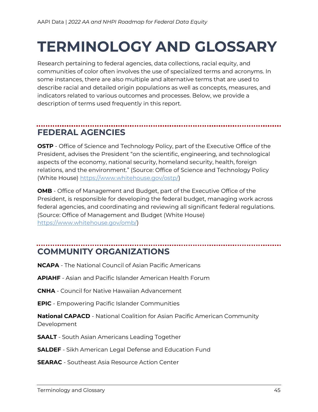# <span id="page-44-0"></span>**TERMINOLOGY AND GLOSSARY**

Research pertaining to federal agencies, data collections, racial equity, and communities of color often involves the use of specialized terms and acronyms. In some instances, there are also multiple and alternative terms that are used to describe racial and detailed origin populations as well as concepts, measures, and indicators related to various outcomes and processes. Below, we provide a description of terms used frequently in this report.

### <span id="page-44-1"></span>**FEDERAL AGENCIES**

**OSTP** - Office of Science and Technology Policy, part of the Executive Office of the President, advises the President "on the scientific, engineering, and technological aspects of the economy, national security, homeland security, health, foreign relations, and the environment." (Source: Office of Science and Technology Policy (White House) [https://www.whitehouse.gov/ostp/\)](https://www.whitehouse.gov/ostp/)

**OMB** - Office of Management and Budget, part of the Executive Office of the President, is responsible for developing the federal budget, managing work across federal agencies, and coordinating and reviewing all significant federal regulations. (Source: Office of Management and Budget (White House) [https://www.whitehouse.gov/omb/\)](https://www.whitehouse.gov/omb/)

### <span id="page-44-2"></span>**COMMUNITY ORGANIZATIONS**

- **NCAPA** The National Council of Asian Pacific Americans
- **APIAHF** Asian and Pacific Islander American Health Forum
- **CNHA** Council for Native Hawaiian Advancement
- **EPIC** Empowering Pacific Islander Communities

**National CAPACD** - National Coalition for Asian Pacific American Community Development

- **SAALT** South Asian Americans Leading Together
- **SALDEF** Sikh American Legal Defense and Education Fund
- **SEARAC** Southeast Asia Resource Action Center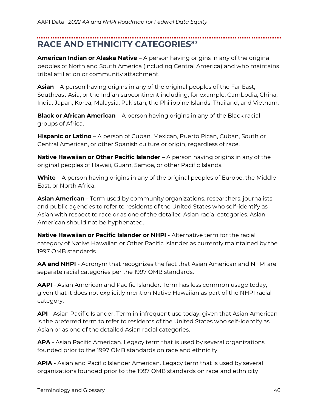## <span id="page-45-0"></span>**RACE AND ETHNICITY CATEGORIES<sup>87</sup>**

**American Indian or Alaska Native** – A person having origins in any of the original peoples of North and South America (including Central America) and who maintains tribal affiliation or community attachment.

**Asian** – A person having origins in any of the original peoples of the Far East, Southeast Asia, or the Indian subcontinent including, for example, Cambodia, China, India, Japan, Korea, Malaysia, Pakistan, the Philippine Islands, Thailand, and Vietnam.

**Black or African American** – A person having origins in any of the Black racial groups of Africa.

**Hispanic or Latino** – A person of Cuban, Mexican, Puerto Rican, Cuban, South or Central American, or other Spanish culture or origin, regardless of race.

**Native Hawaiian or Other Pacific Islander** – A person having origins in any of the original peoples of Hawaii, Guam, Samoa, or other Pacific Islands.

**White** – A person having origins in any of the original peoples of Europe, the Middle East, or North Africa.

**Asian American** - Term used by community organizations, researchers, journalists, and public agencies to refer to residents of the United States who self-identify as Asian with respect to race or as one of the detailed Asian racial categories. Asian American should not be hyphenated.

**Native Hawaiian or Pacific Islander or NHPI** - Alternative term for the racial category of Native Hawaiian or Other Pacific Islander as currently maintained by the 1997 OMB standards.

**AA and NHPI** - Acronym that recognizes the fact that Asian American and NHPI are separate racial categories per the 1997 OMB standards.

**AAPI** - Asian American and Pacific Islander. Term has less common usage today, given that it does not explicitly mention Native Hawaiian as part of the NHPI racial category.

**API** - Asian Pacific Islander. Term in infrequent use today, given that Asian American is the preferred term to refer to residents of the United States who self-identify as Asian or as one of the detailed Asian racial categories.

**APA** - Asian Pacific American. Legacy term that is used by several organizations founded prior to the 1997 OMB standards on race and ethnicity.

**APIA** - Asian and Pacific Islander American. Legacy term that is used by several organizations founded prior to the 1997 OMB standards on race and ethnicity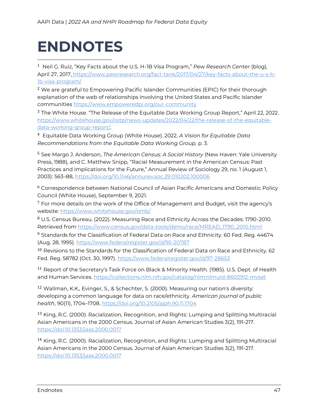# <span id="page-46-0"></span>**ENDNOTES**

<sup>1</sup> Neil G. Ruiz, "Key Facts about the U.S. H-1B Visa Program," *Pew Research Center* (blog), April 27, 2017, [https://www.pewresearch.org/fact-tank/2017/04/27/key-facts-about-the-u-s-h-](https://www.pewresearch.org/fact-tank/2017/04/27/key-facts-about-the-u-s-h-1b-visa-program/)[1b-visa-program/](https://www.pewresearch.org/fact-tank/2017/04/27/key-facts-about-the-u-s-h-1b-visa-program/)

<sup>2</sup> We are grateful to Empowering Pacific Islander Communities (EPIC) for their thorough explanation of the web of relationships involving the United States and Pacific Islander communities<https://www.empoweredpi.org/our-community>

<sup>3</sup> The White House. "The Release of the Equitable Data Working Group Report," April 22, 2022. [https://www.whitehouse.gov/ostp/news-updates/2022/04/22/the-release-of-the-equitable](https://www.whitehouse.gov/ostp/news-updates/2022/04/22/the-release-of-the-equitable-data-working-group-report/)[data-working-group-report/.](https://www.whitehouse.gov/ostp/news-updates/2022/04/22/the-release-of-the-equitable-data-working-group-report/) 

<sup>4</sup> Equitable Data Working Group (White House). 2022. *A Vision for Equitable Data Recommendations from the Equitable Data Working Group,* p. 3.

<sup>5</sup> See Margo J. Anderson, *The American Census: A Social History* (New Haven: Yale University Press, 1988), and C. Matthew Snipp, "Racial Measurement in the American Census: Past Practices and Implications for the Future," Annual Review of Sociology 29, no. 1 (August 1, 2003): 563–88,<https://doi.org/10.1146/annurev.soc.29.010202.100006>

<sup>6</sup> Correspondence between National Council of Asian Pacific Americans and Domestic Policy Council (White House), September 9, 2021.

 $7$  For more details on the work of the Office of Management and Budget, visit the agency's website:<https://www.whitehouse.gov/omb/>

<sup>8</sup> U.S. Census Bureau. (2022). Measuring Race and Ethnicity Across the Decades: 1790-2010. Retrieved from [https://www.census.gov/data-tools/demo/race/MREAD\\_1790\\_2010.html](https://www.census.gov/data-tools/demo/race/MREAD_1790_2010.html)

<sup>9</sup> Standards for the Classification of Federal Data on Race and Ethnicity. 60 Fed. Reg. 44674 (Aug. 28, 1995).<https://www.federalregister.gov/d/95-20787>

<sup>10</sup> Revisions to the Standards for the Classification of Federal Data on Race and Ethnicity. 62 Fed. Reg. 58782 (Oct. 30, 1997).<https://www.federalregister.gov/d/97-28653>

<sup>11</sup> Report of the Secretary's Task Force on Black & Minority Health. (1985). U.S. Dept. of Health and Human Services.<https://collections.nlm.nih.gov/catalog/nlm:nlmuid-8602912-mvset>

<sup>12</sup> Wallman, K.K., Evinger, S., & Schechter, S. (2000). Measuring our nation's diversity: developing a common language for data on race/ethnicity. *American journal of public health*, 90(11), 1704–1708.<https://doi.org/10.2105/ajph.90.11.1704>

13 King, R.C. (2000). Racialization, Recognition, and Rights: Lumping and Splitting Multiracial Asian Americans in the 2000 Census. Journal of Asian American Studies 3(2), 191-217. [https://doi:10.1353/jaas.2000.0017](about:blank)

<sup>14</sup> King, R.C. (2000). Racialization, Recognition, and Rights: Lumping and Splitting Multiracial Asian Americans in the 2000 Census. Journal of Asian American Studies 3(2), 191-217. [https://doi:10.1353/jaas.2000.0017](about:blank)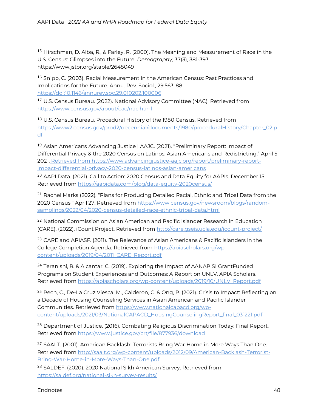<sup>15</sup> Hirschman, D. Alba, R., & Farley, R. (2000). The Meaning and Measurement of Race in the U.S. Census: Glimpses into the Future. *Demography*, 37(3), 381-393. https://www.jstor.org/stable/2648049

<sup>16</sup> Snipp, C. (2003). Racial Measurement in the American Census: Past Practices and Implications for the Future. Annu. Rev. Sociol., 29:563-88 [https://doi:10.1146/annurev.soc.29.010202.100006](about:blank)

<sup>17</sup> U.S. Census Bureau. (2022). National Advisory Committee (NAC). Retrieved from <https://www.census.gov/about/cac/nac.html>

18 U.S. Census Bureau. Procedural History of the 1980 Census. Retrieved from [https://www2.census.gov/prod2/decennial/documents/1980/proceduralHistory/Chapter\\_02.p](https://www2.census.gov/prod2/decennial/documents/1980/proceduralHistory/Chapter_02.pdf) [df](https://www2.census.gov/prod2/decennial/documents/1980/proceduralHistory/Chapter_02.pdf)

<sup>19</sup> Asian Americans Advancing Justice | AAJC. (2021). "Preliminary Report: Impact of Differential Privacy & the 2020 Census on Latinos, Asian Americans and Redistricting," April 5, 2021, [Retrieved from https://www.advancingjustice-aajc.org/report/preliminary-report](https://www.advancingjustice-aajc.org/report/preliminary-report-impact-differential-privacy-2020-census-latinos-asian-americans)[impact-differential-privacy-2020-census-latinos-asian-americans](https://www.advancingjustice-aajc.org/report/preliminary-report-impact-differential-privacy-2020-census-latinos-asian-americans)

<sup>20</sup> AAPI Data. (2021). Call to Action: 2020 Census and Data Equity for AAPIs. December 15. Retrieved from<https://aapidata.com/blog/data-equity-2020census/>

<sup>21</sup> Rachel Marks (2022). "Plans for Producing Detailed Racial, Ethnic and Tribal Data from the 2020 Census." April 27. Retrieved from [https://www.census.gov/newsroom/blogs/random](https://www.census.gov/newsroom/blogs/random-samplings/2022/04/2020-census-detailed-race-ethnic-tribal-data.html)[samplings/2022/04/2020-census-detailed-race-ethnic-tribal-data.html](https://www.census.gov/newsroom/blogs/random-samplings/2022/04/2020-census-detailed-race-ethnic-tribal-data.html)

<sup>22</sup> National Commission on Asian American and Pacific Islander Research in Education (CARE). (2022). iCount Project. Retrieved from<http://care.gseis.ucla.edu/icount-project/>

<sup>23</sup> CARE and APIASF. (2011). The Relevance of Asian Americans & Pacific Islanders in the College Completion Agenda. Retrieved from [https://apiascholars.org/wp](https://apiascholars.org/wp-content/uploads/2019/04/2011_CARE_Report.pdf)[content/uploads/2019/04/2011\\_CARE\\_Report.pdf](https://apiascholars.org/wp-content/uploads/2019/04/2011_CARE_Report.pdf)

<sup>24</sup> Teranishi, R. & Alcantar, C. (2019). Exploring the Impact of AANAPISI GrantFunded Programs on Student Experiences and Outcomes: A Report on UNLV. APIA Scholars. Retrieved from [https://apiascholars.org/wp-content/uploads/2019/10/UNLV\\_Report.pdf](https://apiascholars.org/wp-content/uploads/2019/10/UNLV_Report.pdf)

<sup>25</sup> Pech, C., De-La Cruz Viesca, M., Calderon, C. & Ong, P. (2021). Crisis to Impact: Reflecting on a Decade of Housing Counseling Services in Asian American and Pacific Islander Communities. Retrieved from [https://www.nationalcapacd.org/wp](https://www.nationalcapacd.org/wp-content/uploads/2021/03/NationalCAPACD_HousingCounselingReport_final_031221.pdf)[content/uploads/2021/03/NationalCAPACD\\_HousingCounselingReport\\_final\\_031221.pdf](https://www.nationalcapacd.org/wp-content/uploads/2021/03/NationalCAPACD_HousingCounselingReport_final_031221.pdf)

<sup>26</sup> Department of Justice. (2016). Combating Religious Discrimination Today: Final Report. Retrieved from<https://www.justice.gov/crt/file/877936/download>

<sup>27</sup> SAALT. (2001). American Backlash: Terrorists Bring War Home in More Ways Than One. Retrieved from [http://saalt.org/wp-content/uploads/2012/09/American-Backlash-Terrorist-](http://saalt.org/wp-content/uploads/2012/09/American-Backlash-Terrorist-Bring-War-Home-in-More-Ways-Than-One.pdf)[Bring-War-Home-in-More-Ways-Than-One.pdf](http://saalt.org/wp-content/uploads/2012/09/American-Backlash-Terrorist-Bring-War-Home-in-More-Ways-Than-One.pdf)

<sup>28</sup> SALDEF. (2020). 2020 National Sikh American Survey. Retrieved from <https://saldef.org/national-sikh-survey-results/>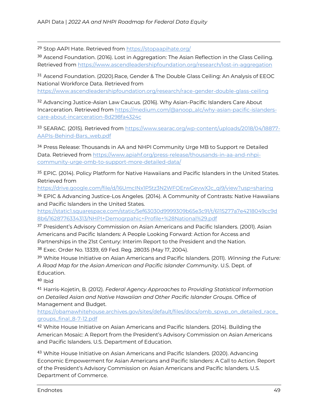29 Stop AAPI Hate. Retrieved from<https://stopaapihate.org/>

<sup>30</sup> Ascend Foundation. (2016). Lost in Aggregation: The Asian Reflection in the Glass Ceiling. Retrieved from<https://www.ascendleadershipfoundation.org/research/lost-in-aggregation>

<sup>31</sup> Ascend Foundation. (2020).Race, Gender & The Double Glass Ceiling: An Analysis of EEOC National Workforce Data. Retrieved from

<https://www.ascendleadershipfoundation.org/research/race-gender-double-glass-ceiling>

<sup>32</sup> Advancing Justice-Asian Law Caucus. (2016). Why Asian-Pacific Islanders Care About Incarceration. Retrieved from [https://medium.com/@anoop\\_alc/why-asian-pacific-islanders](https://medium.com/@anoop_alc/why-asian-pacific-islanders-care-about-incarceration-8d298fa4324c)[care-about-incarceration-8d298fa4324c](https://medium.com/@anoop_alc/why-asian-pacific-islanders-care-about-incarceration-8d298fa4324c)

33 SEARAC. (2015). Retrieved fro[m https://www.searac.org/wp-content/uploads/2018/04/18877-](https://www.searac.org/wp-content/uploads/2018/04/18877-AAPIs-Behind-Bars_web.pdf) [AAPIs-Behind-Bars\\_web.pdf](https://www.searac.org/wp-content/uploads/2018/04/18877-AAPIs-Behind-Bars_web.pdf)

<sup>34</sup> Press Release: Thousands in AA and NHPI Community Urge MB to Support re Detailed Data. Retrieved fro[m https://www.apiahf.org/press-release/thousands-in-aa-and-nhpi](https://www.apiahf.org/press-release/thousands-in-aa-and-nhpi-community-urge-omb-to-support-more-detailed-data/)[community-urge-omb-to-support-more-detailed-data/](https://www.apiahf.org/press-release/thousands-in-aa-and-nhpi-community-urge-omb-to-support-more-detailed-data/)

<sup>35</sup> EPIC. (2014). Policy Platform for Native Hawaiians and Pacific Islanders in the United States. Retrieved from

[https://drive.google.com/file/d/16UmcINx1P5tz3N2WFOErwGevwXJc\\_qi9/view?usp=sharing](https://drive.google.com/file/d/16UmcINx1P5tz3N2WFOErwGevwXJc_qi9/view?usp=sharing)

<sup>36</sup> EPIC & Advancing Justice-Los Angeles. (2014). A Community of Contrasts: Native Hawaiians and Pacific Islanders in the United States.

[https://static1.squarespace.com/static/5ef63030d9999309b65e3c91/t/6115277a7e4218049cc9d](https://static1.squarespace.com/static/5ef63030d9999309b65e3c91/t/6115277a7e4218049cc9d8b6/1628776334313/NHPI+Demogrpahic+Profile+%28National%29.pdf) [8b6/1628776334313/NHPI+Demogrpahic+Profile+%28National%29.pdf](https://static1.squarespace.com/static/5ef63030d9999309b65e3c91/t/6115277a7e4218049cc9d8b6/1628776334313/NHPI+Demogrpahic+Profile+%28National%29.pdf)

<sup>37</sup> President's Advisory Commission on Asian Americans and Pacific Islanders. (2001). Asian Americans and Pacific Islanders: A People Looking Forward: Action for Access and Partnerships in the 21st Century: Interim Report to the President and the Nation. <sup>38</sup> Exec. Order No. 13339, 69 Fed. Reg. 28035 (May 17, 2004).

<sup>39</sup> White House Initiative on Asian Americans and Pacific Islanders. (2011). *Winning the Future: A Road Map for the Asian American and Pacific Islander Community*. U.S. Dept. of Education.

 $40$  Ibid

<sup>41</sup> Harris-Kojetin, B. (2012). *Federal Agency Approaches to Providing Statistical Information on Detailed Asian and Native Hawaiian and Other Pacific Islander Groups*. Office of Management and Budget.

[https://obamawhitehouse.archives.gov/sites/default/files/docs/omb\\_spwp\\_on\\_detailed\\_race\\_](https://obamawhitehouse.archives.gov/sites/default/files/docs/omb_spwp_on_detailed_race_groups_final_8-7-12.pdf) [groups\\_final\\_8-7-12.pdf](https://obamawhitehouse.archives.gov/sites/default/files/docs/omb_spwp_on_detailed_race_groups_final_8-7-12.pdf)

42 White House Initiative on Asian Americans and Pacific Islanders. (2014). Building the American Mosaic: A Report from the President's Advisory Commission on Asian Americans and Pacific Islanders. U.S. Department of Education.

<sup>43</sup> White House Initiative on Asian Americans and Pacific Islanders. (2020). Advancing Economic Empowerment for Asian Americans and Pacific Islanders: A Call to Action. Report of the President's Advisory Commission on Asian Americans and Pacific Islanders. U.S. Department of Commerce.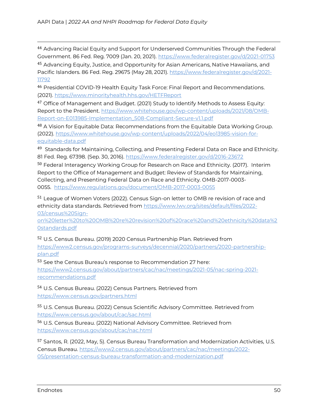<sup>44</sup> Advancing Racial Equity and Support for Underserved Communities Through the Federal Government. 86 Fed. Reg. 7009 (Jan. 20, 2021).<https://www.federalregister.gov/d/2021-01753> <sup>45</sup> Advancing Equity, Justice, and Opportunity for Asian Americans, Native Hawaiians, and

Pacific Islanders. 86 Fed. Reg. 29675 (May 28, 2021). [https://www.federalregister.gov/d/2021-](https://www.federalregister.gov/d/2021-11792) [11792](https://www.federalregister.gov/d/2021-11792)

<sup>46</sup> Presidential COVID-19 Health Equity Task Force: Final Report and Recommendations. (2021).<https://www.minorityhealth.hhs.gov/HETFReport>

<sup>47</sup> Office of Management and Budget. (2021) Study to Identify Methods to Assess Equity: Report to the President[. https://www.whitehouse.gov/wp-content/uploads/2021/08/OMB-](https://www.whitehouse.gov/wp-content/uploads/2021/08/OMB-Report-on-E013985-Implementation_508-Compliant-Secure-v1.1.pdf)[Report-on-E013985-Implementation\\_508-Compliant-Secure-v1.1.pdf](https://www.whitehouse.gov/wp-content/uploads/2021/08/OMB-Report-on-E013985-Implementation_508-Compliant-Secure-v1.1.pdf)

48 A Vision for Equitable Data: Recommendations from the Equitable Data Working Group. (2022). [https://www.whitehouse.gov/wp-content/uploads/2022/04/eo13985-vision-for](https://www.whitehouse.gov/wp-content/uploads/2022/04/eo13985-vision-for-equitable-data.pdf)[equitable-data.pdf](https://www.whitehouse.gov/wp-content/uploads/2022/04/eo13985-vision-for-equitable-data.pdf)

<sup>49</sup> Standards for Maintaining, Collecting, and Presenting Federal Data on Race and Ethnicity. 81 Fed. Reg. 67398. (Sep. 30, 2016).<https://www.federalregister.gov/d/2016-23672>

50 Federal Interagency Working Group for Research on Race and Ethnicity. (2017). Interim Report to the Office of Management and Budget: Review of Standards for Maintaining, Collecting, and Presenting Federal Data on Race and Ethnicity. OMB-2017-0003- 0055. <https://www.regulations.gov/document/OMB-2017-0003-0055>

<sup>51</sup> League of Women Voters (2022). Census Sign-on letter to OMB re revision of race and ethnicity data standards. Retrieved from [https://www.lwv.org/sites/default/files/2022-](https://www.lwv.org/sites/default/files/2022-03/census%20Sign-on%20letter%20to%20OMB%20re%20revision%20of%20race%20and%20ethnicity%20data%20standards.pdf) [03/census%20Sign-](https://www.lwv.org/sites/default/files/2022-03/census%20Sign-on%20letter%20to%20OMB%20re%20revision%20of%20race%20and%20ethnicity%20data%20standards.pdf)

[on%20letter%20to%20OMB%20re%20revision%20of%20race%20and%20ethnicity%20data%2](https://www.lwv.org/sites/default/files/2022-03/census%20Sign-on%20letter%20to%20OMB%20re%20revision%20of%20race%20and%20ethnicity%20data%20standards.pdf) [0standards.pdf](https://www.lwv.org/sites/default/files/2022-03/census%20Sign-on%20letter%20to%20OMB%20re%20revision%20of%20race%20and%20ethnicity%20data%20standards.pdf)

<sup>52</sup> U.S. Census Bureau. (2019) 2020 Census Partnership Plan. Retrieved from

[https://www2.census.gov/programs-surveys/decennial/2020/partners/2020-partnership](https://www2.census.gov/programs-surveys/decennial/2020/partners/2020-partnership-plan.pdf)[plan.pdf](https://www2.census.gov/programs-surveys/decennial/2020/partners/2020-partnership-plan.pdf)

<sup>53</sup> See the Census Bureau's response to Recommendation 27 here:

[https://www2.census.gov/about/partners/cac/nac/meetings/2021-05/nac-spring-2021](https://www2.census.gov/about/partners/cac/nac/meetings/2021-05/nac-spring-2021-recommendations.pdf) [recommendations.pdf](https://www2.census.gov/about/partners/cac/nac/meetings/2021-05/nac-spring-2021-recommendations.pdf)

<sup>54</sup> U.S. Census Bureau. (2022) Census Partners. Retrieved from <https://www.census.gov/partners.html>

<sup>55</sup> U.S. Census Bureau. (2022) Census Scientific Advisory Committee. Retrieved from <https://www.census.gov/about/cac/sac.html>

<sup>56</sup> U.S. Census Bureau. (2022) National Advisory Committee. Retrieved from <https://www.census.gov/about/cac/nac.html>

<sup>57</sup> Santos, R. (2022, May, 5). Census Bureau Transformation and Modernization Activities, U.S. Census Bureau. [https://www2.census.gov/about/partners/cac/nac/meetings/2022-](https://www2.census.gov/about/partners/cac/nac/meetings/2022-05/presentation-census-bureau-transformation-and-modernization.pdf) [05/presentation-census-bureau-transformation-and-modernization.pdf](https://www2.census.gov/about/partners/cac/nac/meetings/2022-05/presentation-census-bureau-transformation-and-modernization.pdf)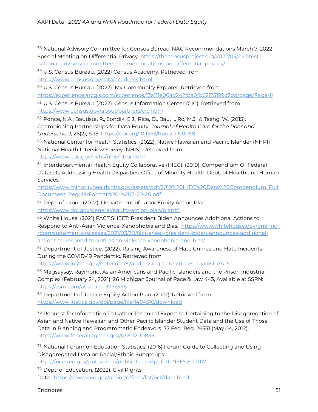<sup>58</sup> National Advisory Committee for Census Bureau. NAC Recommendations March 7, 2022 Special Meeting on Differential Privacy. [https://thecensusproject.org/2022/03/21/latest](https://thecensusproject.org/2022/03/21/latest-national-advisory-committee-recommendations-on-differential-privacy/)[national-advisory-committee-recommendations-on-differential-privacy/](https://thecensusproject.org/2022/03/21/latest-national-advisory-committee-recommendations-on-differential-privacy/)

<sup>59</sup> U.S. Census Bureau. (2022) Census Academy. Retrieved from <https://www.census.gov/data/academy.html>

<sup>60</sup> U.S. Census Bureau. (2022) My Community Explorer. Retrieved from

<https://experience.arcgis.com/experience/13a111e06ad242fba0fb62f25199c7dd/page/Page-1/>

<sup>61</sup> U.S. Census Bureau. (2022). Census Information Center (CIC). Retrieved from <https://www.census.gov/about/partners/cic.html>

<sup>62</sup> Ponce, N.A., Bautista, R., Sondik, E.J., Rice, D., Bau, I., Ro, M.J., & Tseng, W. (2015). Championing Partnerships for Data Equity. *Journal of Health Care for the Poor and Underserved*, 26(2), 6-15.<https://doi.org/10.1353/hpu.2015.0058>

63 National Center for Health Statistics. (2022). Native Hawaiian and Pacific Islander (NHPI) National Health Interview Survey (NHIS). Retrieved from

<https://www.cdc.gov/nchs/nhis/nhpi.html>

<sup>64</sup> Interdepartmental Health Equity Collaborative (IHEC). (2019). Compendium Of Federal Datasets Addressing Health Disparities. Office of Minority Health, Dept. of Health and Human Services.

[https://www.minorityhealth.hhs.gov/assets/pdf/2019%20IHEC%20Data%20Compendium\\_Full](https://www.minorityhealth.hhs.gov/assets/pdf/2019%20IHEC%20Data%20Compendium_FullDocument_RegularFormat%20-%207-20-20.pdf) [Document\\_RegularFormat%20-%207-20-20.pdf](https://www.minorityhealth.hhs.gov/assets/pdf/2019%20IHEC%20Data%20Compendium_FullDocument_RegularFormat%20-%207-20-20.pdf)

<sup>65</sup> Dept. of Labor. (2022). Department of Labor Equity Action Plan.

<https://www.dol.gov/general/equity-action-plan/plan#1>

<sup>66</sup> White House. (2021) FACT SHEET: President Biden Announces Additional Actions to Respond to Anti-Asian Violence, Xenophobia and Bias. [https://www.whitehouse.gov/briefing](https://www.whitehouse.gov/briefing-room/statements-releases/2021/03/30/fact-sheet-president-biden-announces-additional-actions-to-respond-to-anti-asian-violence-xenophobia-and-bias/)[room/statements-releases/2021/03/30/fact-sheet-president-biden-announces-additional](https://www.whitehouse.gov/briefing-room/statements-releases/2021/03/30/fact-sheet-president-biden-announces-additional-actions-to-respond-to-anti-asian-violence-xenophobia-and-bias/)[actions-to-respond-to-anti-asian-violence-xenophobia-and-bias/](https://www.whitehouse.gov/briefing-room/statements-releases/2021/03/30/fact-sheet-president-biden-announces-additional-actions-to-respond-to-anti-asian-violence-xenophobia-and-bias/)

<sup>67</sup> Department of Justice. (2022). Raising Awareness of Hate Crimes and Hate Incidents During the COVID-19 Pandemic. Retrieved from

<https://www.justice.gov/hatecrimes/addressing-hate-crimes-against-AAPI>

<sup>68</sup> Magsaysay, Raymond, Asian Americans and Pacific Islanders and the Prison Industrial Complex (February 24, 2021). 26 Michigan Journal of Race & Law 443, Available at SSRN: <https://ssrn.com/abstract=3792596>

<sup>69</sup> Department of Justice Equity Action Plan. (2022). Retrieved from <https://www.justice.gov/doj/page/file/1494516/download>

 $70$  Request for Information To Gather Technical Expertise Pertaining to the Disaggregation of Asian and Native Hawaiian and Other Pacific Islander Student Data and the Use of Those Data in Planning and Programmatic Endeavors. 77 Fed. Reg. 26531 (May 04, 2012). <https://www.federalregister.gov/d/2012-10835>

<sup>71</sup> National Forum on Education Statistics. (2016) Forum Guide to Collecting and Using Disaggregated Data on Racial/Ethnic Subgroups.

<https://nces.ed.gov/pubsearch/pubsinfo.asp?pubid=NFES2017017>

<sup>72</sup> Dept. of Education. (2022). Civil Rights Data. <https://www2.ed.gov/about/offices/list/ocr/data.html>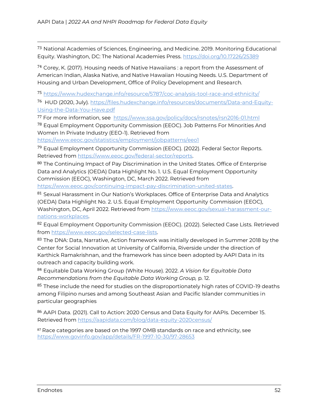<sup>73</sup> National Academies of Sciences, Engineering, and Medicine. 2019. Monitoring Educational Equity. Washington, DC: The National Academies Press.<https://doi.org/10.17226/25389>

<sup>74</sup> Corey, K. (2017). Housing needs of Native Hawaiians : a report from the Assessment of American Indian, Alaska Native, and Native Hawaiian Housing Needs. U.S. Department of Housing and Urban Development, Office of Policy Development and Research.

<sup>75</sup> <https://www.hudexchange.info/resource/5787/coc-analysis-tool-race-and-ethnicity/>

<sup>76</sup> HUD (2020, July)[. https://files.hudexchange.info/resources/documents/Data-and-Equity-](https://files.hudexchange.info/resources/documents/Data-and-Equity-Using-the-Data-You-Have.pdf)[Using-the-Data-You-Have.pdf](https://files.hudexchange.info/resources/documents/Data-and-Equity-Using-the-Data-You-Have.pdf)

<sup>77</sup> For more information, see <https://www.ssa.gov/policy/docs/rsnotes/rsn2016-01.html>

<sup>78</sup> Equal Employment Opportunity Commission (EEOC). Job Patterns For Minorities And Women In Private Industry (EEO-1). Retrieved from

<https://www.eeoc.gov/statistics/employment/jobpatterns/eeo1>

<sup>79</sup> Equal Employment Opportunity Commission (EEOC). (2022). Federal Sector Reports. Retrieved from [https://www.eeoc.gov/federal-sector/reports.](https://www.eeoc.gov/federal-sector/reports)

80 The Continuing Impact of Pay Discrimination in the United States. Office of Enterprise Data and Analytics (OEDA) Data Highlight No. 1. U.S. Equal Employment Opportunity Commission (EEOC), Washington, DC, March 2022. Retrieved from

[https://www.eeoc.gov/continuing-impact-pay-discrimination-united-states.](https://www.eeoc.gov/continuing-impact-pay-discrimination-united-states) 

81 Sexual Harassment in Our Nation's Workplaces. Office of Enterprise Data and Analytics (OEDA) Data Highlight No. 2. U.S. Equal Employment Opportunity Commission (EEOC), Washington, DC, April 2022. Retrieved from [https://www.eeoc.gov/sexual-harassment-our](https://www.eeoc.gov/sexual-harassment-our-nations-workplaces)[nations-workplaces.](https://www.eeoc.gov/sexual-harassment-our-nations-workplaces)

<sup>82</sup> Equal Employment Opportunity Commission (EEOC). (2022). Selected Case Lists. Retrieved from [https://www.eeoc.gov/selected-case-lists.](https://www.eeoc.gov/selected-case-lists)

83 The DNA: Data, Narrative, Action framework was initially developed in Summer 2018 by the Center for Social Innovation at University of California, Riverside under the direction of Karthick Ramakrishnan, and the framework has since been adopted by AAPI Data in its outreach and capacity building work.

<sup>84</sup> Equitable Data Working Group (White House). 2022. *A Vision for Equitable Data Recommendations from the Equitable Data Working Group,* p. 12.

85 These include the need for studies on the disproportionately high rates of COVID-19 deaths among Filipino nurses and among Southeast Asian and Pacific Islander communities in particular geographies

<sup>86</sup> AAPI Data. (2021). Call to Action: 2020 Census and Data Equity for AAPIs. December 15. Retrieved from<https://aapidata.com/blog/data-equity-2020census/>

87 Race categories are based on the 1997 OMB standards on race and ethnicity, see <https://www.govinfo.gov/app/details/FR-1997-10-30/97-28653>